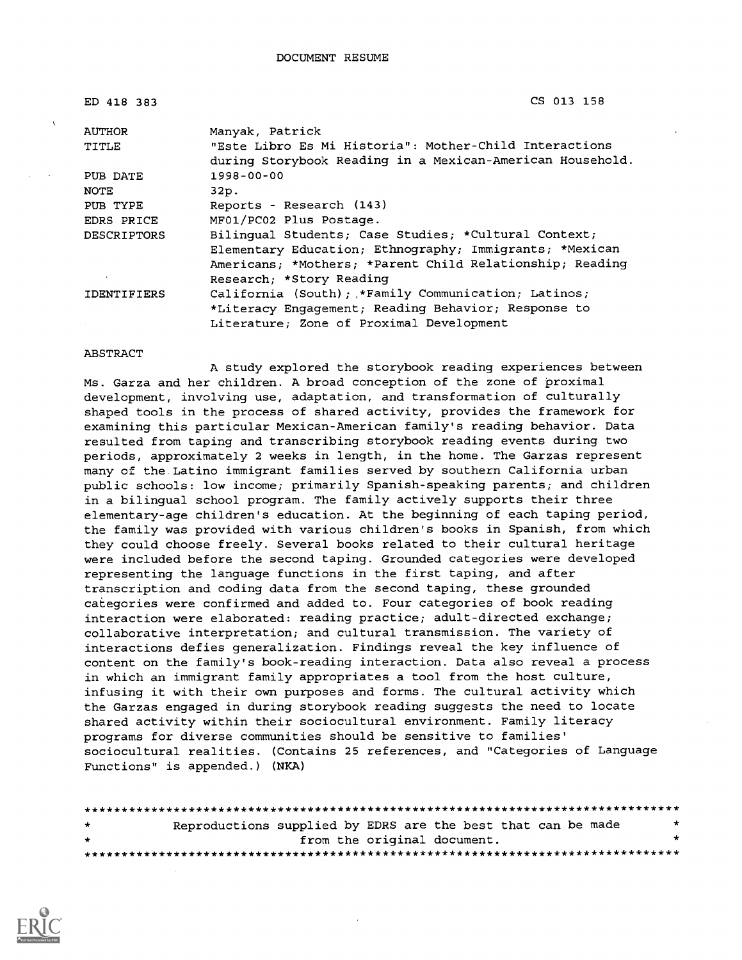| ED 418 383         | CS 013 158                                                |
|--------------------|-----------------------------------------------------------|
| <b>AUTHOR</b>      | Manyak, Patrick                                           |
| TITLE              | "Este Libro Es Mi Historia": Mother-Child Interactions    |
|                    | during Storybook Reading in a Mexican-American Household. |
| PUB DATE           | $1998 - 00 - 00$                                          |
| <b>NOTE</b>        | 32p.                                                      |
| PUB TYPE           | Reports - Research (143)                                  |
| EDRS PRICE         | MF01/PC02 Plus Postage.                                   |
| <b>DESCRIPTORS</b> | Bilinqual Students; Case Studies; *Cultural Context;      |
|                    | Elementary Education; Ethnography; Immigrants; *Mexican   |
|                    | Americans; *Mothers; *Parent Child Relationship; Reading  |
|                    | Research; *Story Reading                                  |
| <b>IDENTIFIERS</b> | California (South); *Family Communication; Latinos;       |
|                    | *Literacy Engagement; Reading Behavior; Response to       |
|                    | Literature; Zone of Proximal Development                  |

#### ABSTRACT

A study explored the storybook reading experiences between Ms. Garza and her children. A broad conception of the zone of proximal development, involving use, adaptation, and transformation of culturally shaped tools in the process of shared activity, provides the framework for examining this particular Mexican-American family's reading behavior. Data resulted from taping and transcribing storybook reading events during two periods, approximately 2 weeks in length, in the home. The Garzas represent many of the. Latino immigrant families served by southern California urban public schools: low income; primarily Spanish-speaking parents; and children in a bilingual school program. The family actively supports their three elementary-age children's education. At the beginning of each taping period, the family was provided with various children's books in Spanish, from which they could choose freely. Several books related to their cultural heritage were included before the second taping. Grounded categories were developed representing the language functions in the first taping, and after transcription and coding data from the second taping, these grounded categories were confirmed and added to. Four categories of book reading interaction were elaborated: reading practice; adult-directed exchange; collaborative interpretation; and cultural transmission. The variety of interactions defies generalization. Findings reveal the key influence of content on the family's book-reading interaction. Data also reveal a process in which an immigrant family appropriates a tool from the host culture, infusing it with their own purposes and forms. The cultural activity which the Garzas engaged in during storybook reading suggests the need to locate shared activity within their sociocultural environment. Family literacy programs for diverse communities should be sensitive to families' sociocultural realities. (Contains 25 references, and "Categories of Language Functions" is appended.) (NKA)

| $\star$ | Reproductions supplied by EDRS are the best that can be made |                             |  |  |  | * |
|---------|--------------------------------------------------------------|-----------------------------|--|--|--|---|
| $\star$ |                                                              | from the original document. |  |  |  |   |
|         |                                                              |                             |  |  |  |   |

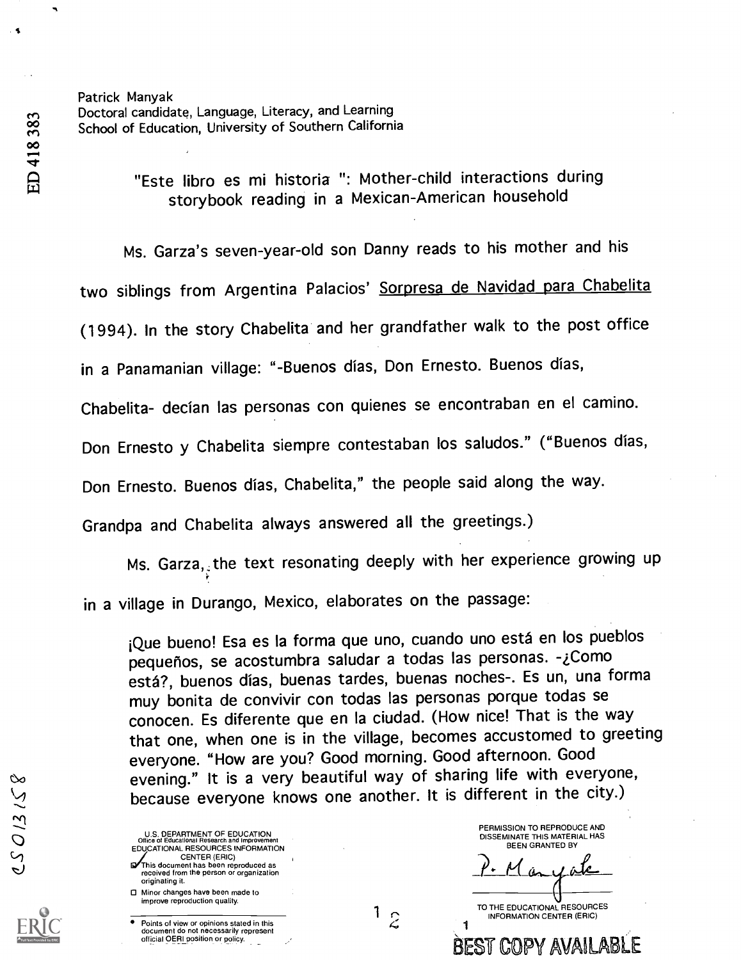Patrick Manyak Doctoral candidate, Language, Literacy, and Learning School of Education, University of Southern California

> "Este libro es mi historia ": Mother-child interactions during storybook reading in a Mexican-American household

Ms. Garza's seven-year-old son Danny reads to his mother and his

two siblings from Argentina Palacios' Sorpresa de Navidad para Chabelita

(1994). In the story Chabelita and her grandfather walk to the post office

in a Panamanian village: "-Buenos dias, Don Ernesto. Buenos dias,

Chabelita- decian las personas con quienes se encontraban en el camino.

Don Ernesto y Chabelita siempre contestaban los saludos." ("Buenos dias,

Don Ernesto. Buenos dias, Chabelita," the people said along the way.

Grandpa and Chabelita always answered all the greetings.)

Ms. Garza, the text resonating deeply with her experience growing up in a village in Durango, Mexico, elaborates on the passage:

¡Que bueno! Esa es la forma que uno, cuando uno está en los pueblos pequeños, se acostumbra saludar a todas las personas. -¿Como esta?, buenos dias, buenas tardes, buenas noches-. Es un, una forma muy Bonita de convivir con todas las personas porque todas se conocen. Es diferente que en Ia ciudad. (How nice! That is the way that one, when one is in the village, becomes accustomed to greeting everyone. "How are you? Good morning. Good afternoon. Good evening." It is a very beautiful way of sharing life with everyone, because everyone knows one another. It is different in the city.)

 $1\overline{z}$ 

U.S. DEPARTMENT OF EDUCATION Office of Educational Research and Improvement EDUCATIONAL RESOURCES INFORMATION CENTER (ERIC) This document has been reproduced as received from the person or organization originating it. Minor changes have been made to improve reproduction quality.

Points of view or opinions stated in this document do not necessarily represent official OERI position or policy.

PERMISSION TO REPRODUCE AND DISSEMINATE THIS MATERIAL HAS BEEN GRANTED BY

TO THE EDUCATIONAL RESOURCES INFORMATION CENTER (ERIC)

BEST COPY AVAILABL

1

ED 418 383

 $321512$ 

S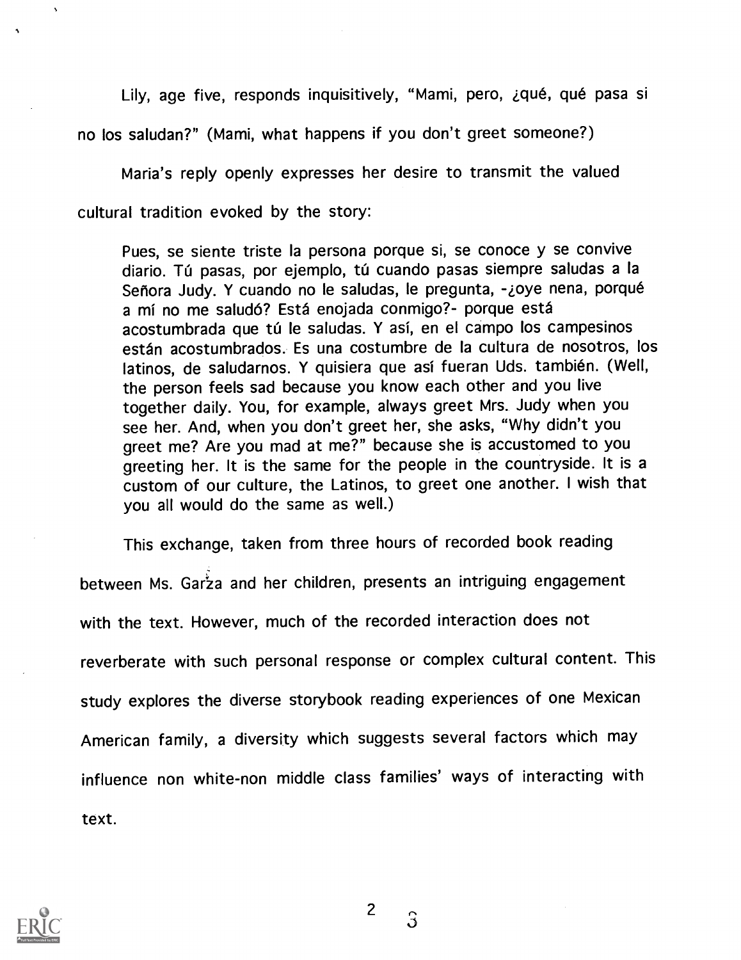Lily, age five, responds inquisitively, "Mami, pero, ¿qué, qué pasa si no los saludan?" (Mami, what happens if you don't greet someone?)

Maria's reply openly expresses her desire to transmit the valued cultural tradition evoked by the story:

Pues, se siente triste la persona porque si, se conoce y se convive diario. Tú pasas, por ejemplo, tú cuando pasas siempre saludas a la Señora Judy. Y cuando no le saludas, le pregunta, -¿oye nena, porqué a mí no me saludó? Está enojada conmigo?- porque está acostumbrada que tú le saludas. Y así, en el campo los campesinos están acostumbrados. Es una costumbre de la cultura de nosotros, los latinos, de saludarnos. Y quisiera que así fueran Uds. también. (Well, the person feels sad because you know each other and you live together daily. You, for example, always greet Mrs. Judy when you see her. And, when you don't greet her, she asks, "Why didn't you greet me? Are you mad at me?" because she is accustomed to you greeting her. It is the same for the people in the countryside. It is a custom of our culture, the Latinos, to greet one another. I wish that you all would do the same as well.)

This exchange, taken from three hours of recorded book reading between Ms. Garza and her children, presents an intriguing engagement with the text. However, much of the recorded interaction does not reverberate with such personal response or complex cultural content. This study explores the diverse storybook reading experiences of one Mexican American family, a diversity which suggests several factors which may influence non white-non middle class families' ways of interacting with text.



2

 $\mathsf{S}$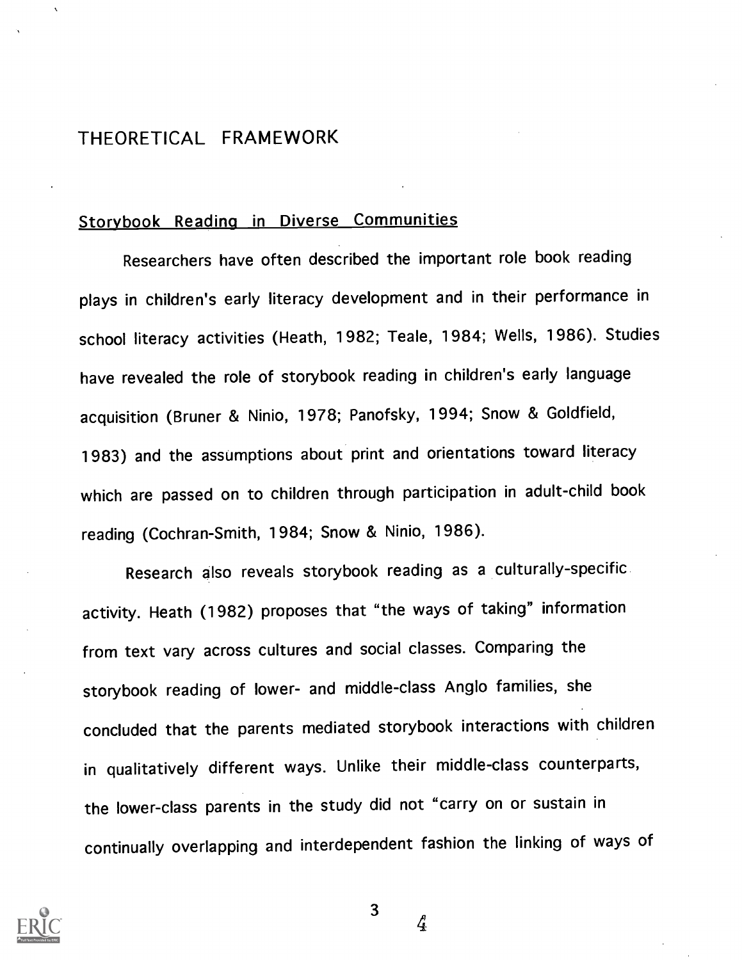# THEORETICAL FRAMEWORK

#### Storybook Reading in Diverse Communities

Researchers have often described the important role book reading plays in children's early literacy development and in their performance in school literacy activities (Heath, 1982; Teale, 1984; Wells, 1986). Studies have revealed the role of storybook reading in children's early language acquisition (Bruner & Ninio, 1978; Panofsky, 1994; Snow & Goldfield, 1983) and the assumptions about print and orientations toward literacy which are passed on to children through participation in adult-child book reading (Cochran-Smith, 1984; Snow & Ninio, 1986).

Research also reveals storybook reading as a culturally-specific activity. Heath (1982) proposes that "the ways of taking" information from text vary across cultures and social classes. Comparing the storybook reading of lower- and middle-class Anglo families, she concluded that the parents mediated storybook interactions with children in qualitatively different ways. Unlike their middle-class counterparts, the lower-class parents in the study did not "carry on or sustain in continually overlapping and interdependent fashion the linking of ways of



3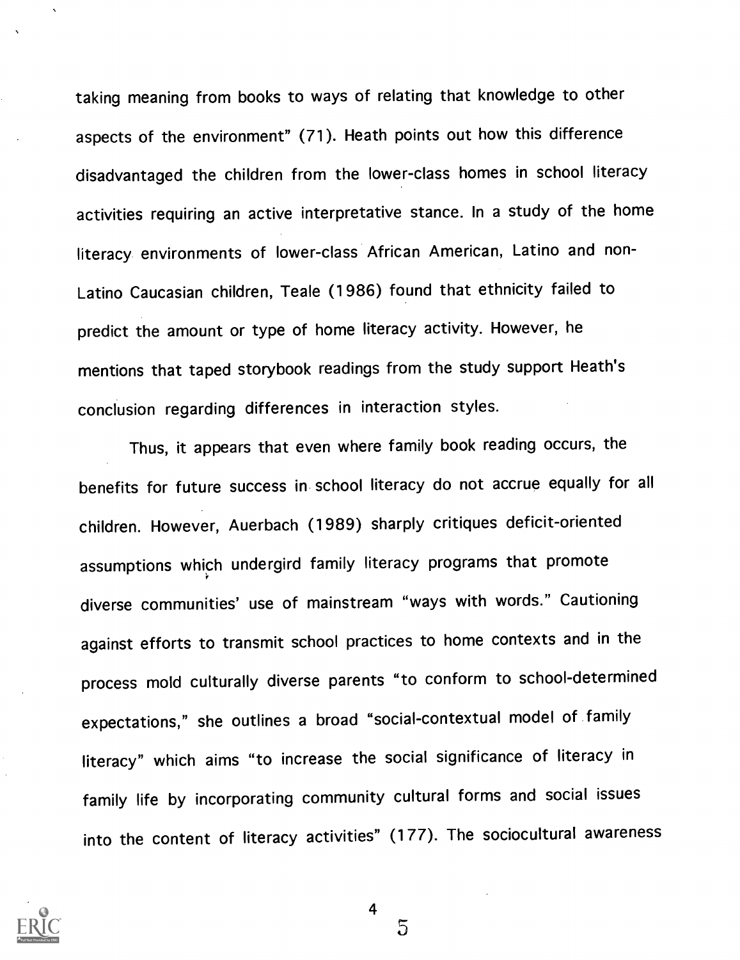taking meaning from books to ways of relating that knowledge to other aspects of the environment" (71). Heath points out how this difference disadvantaged the children from the lower-class homes in school literacy activities requiring an active interpretative stance. In a study of the home literacy environments of lower-class African American, Latino and non-Latino Caucasian children, Teale (1986) found that ethnicity failed to predict the amount or type of home literacy activity. However, he mentions that taped storybook readings from the study support Heath's conclusion regarding differences in interaction styles.

Thus, it appears that even where family book reading occurs, the benefits for future success in school literacy do not accrue equally for all children. However, Auerbach (1989) sharply critiques deficit-oriented assumptions which undergird family literacy programs that promote diverse communities' use of mainstream "ways with words." Cautioning against efforts to transmit school practices to home contexts and in the process mold culturally diverse parents "to conform to school-determined expectations," she outlines a broad "social-contextual model of family literacy" which aims "to increase the social significance of literacy in family life by incorporating community cultural forms and social issues into the content of literacy activities" (177). The sociocultural awareness



4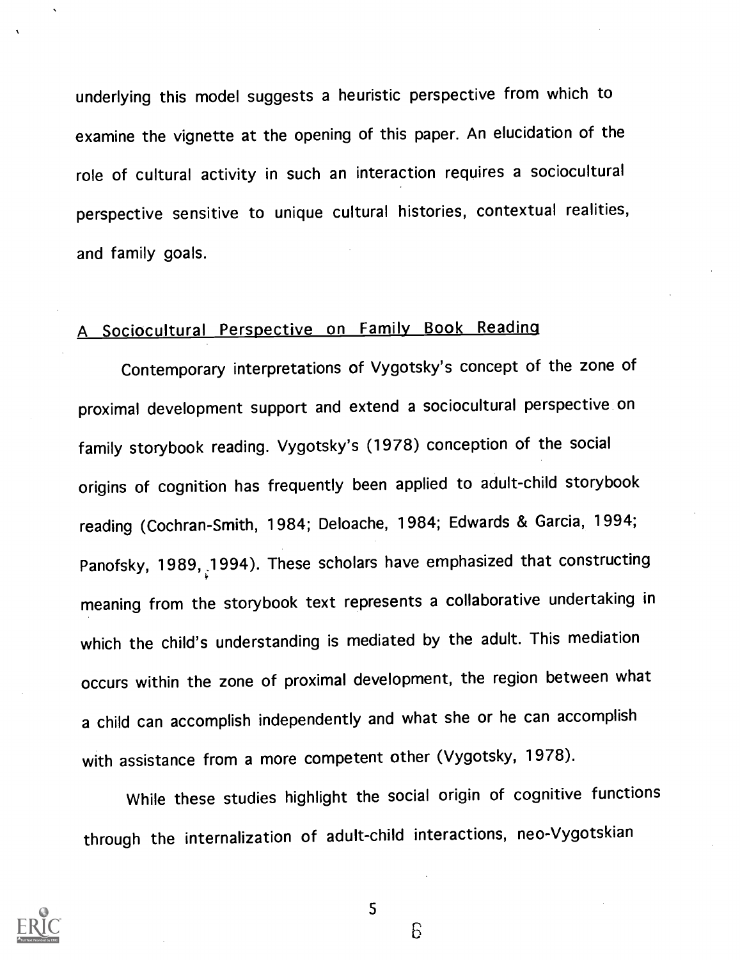underlying this model suggests a heuristic perspective from which to examine the vignette at the opening of this paper. An elucidation of the role of cultural activity in such an interaction requires a sociocultural perspective sensitive to unique cultural histories, contextual realities, and family goals.

# A Sociocultural Perspective on Family Book Reading

Contemporary interpretations of Vygotsky's concept of the zone of proximal development support and extend a sociocultural perspective on family storybook reading. Vygotsky's (1978) conception of the social origins of cognition has frequently been applied to adult-child storybook reading (Cochran-Smith, 1984; Deloache, 1984; Edwards & Garcia, 1994; Panofsky, 1989, 1994). These scholars have emphasized that constructing meaning from the storybook text represents a collaborative undertaking in which the child's understanding is mediated by the adult. This mediation occurs within the zone of proximal development, the region between what a child can accomplish independently and what she or he can accomplish with assistance from a more competent other (Vygotsky, 1978).

While these studies highlight the social origin of cognitive functions through the internalization of adult-child interactions, neo-Vygotskian



5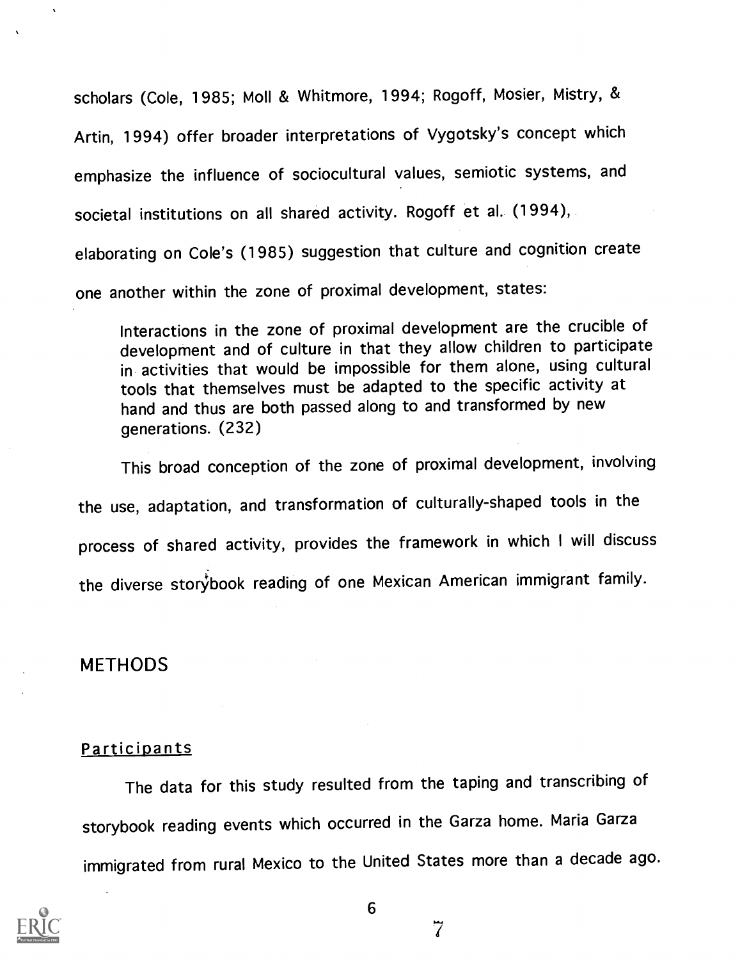scholars (Cole, 1985; Moll & Whitmore, 1994; Rogoff, Mosier, Mistry, & Artin, 1994) offer broader interpretations of Vygotsky's concept which emphasize the influence of sociocultural values, semiotic systems, and societal institutions on all shared activity. Rogoff et al.. (1994), elaborating on Cole's (1985) suggestion that culture and cognition create one another within the zone of proximal development, states:

Interactions in the zone of proximal development are the crucible of development and of culture in that they allow children to participate in activities that would be impossible for them alone, using cultural tools that themselves must be adapted to the specific activity at hand and thus are both passed along to and transformed by new generations. (232)

This broad conception of the zone of proximal development, involving the use, adaptation, and transformation of culturally-shaped tools in the process of shared activity, provides the framework in which I will discuss the diverse storybook reading of one Mexican American immigrant family.

#### METHODS

#### **Participants**

The data for this study resulted from the taping and transcribing of storybook reading events which occurred in the Garza home. Maria Garza immigrated from rural Mexico to the United States more than a decade ago.

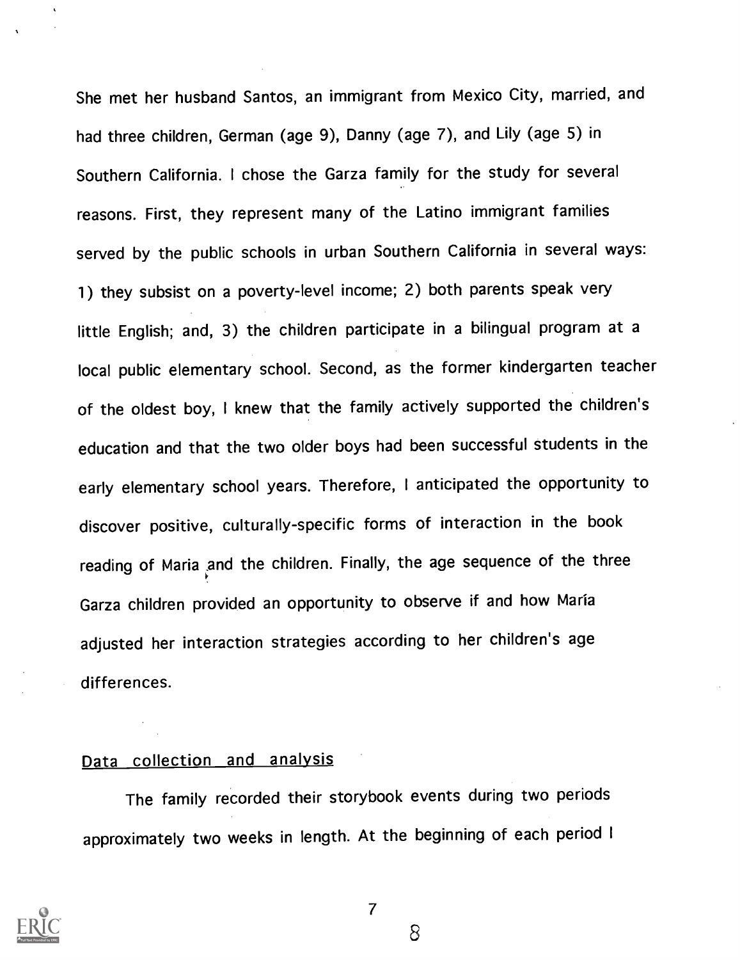She met her husband Santos, an immigrant from Mexico City, married, and had three children, German (age 9), Danny (age 7), and Lily (age 5) in Southern California. I chose the Garza family for the study for several reasons. First, they represent many of the Latino immigrant families served by the public schools in urban Southern California in several ways: 1) they subsist on a poverty-level income; 2) both parents speak very little English; and, 3) the children participate in a bilingual program at a local public elementary school. Second, as the former kindergarten teacher of the oldest boy, I knew that the family actively supported the children's education and that the two older boys had been successful students in the early elementary school years. Therefore, I anticipated the opportunity to discover positive, culturally-specific forms of interaction in the book reading of Maria and the children. Finally, the age sequence of the three Garza children provided an opportunity to observe if and how Maria adjusted her interaction strategies according to her children's age differences.

# Data collection and analysis

The family recorded their storybook events during two periods approximately two weeks in length. At the beginning of each period I



7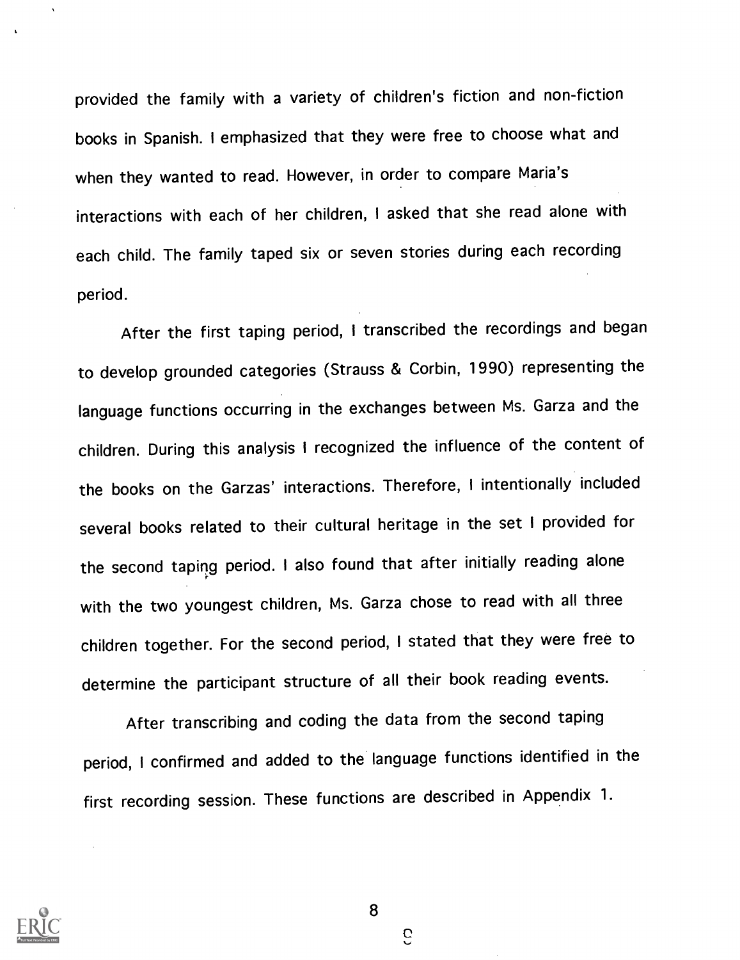provided the family with a variety of children's fiction and non-fiction books in Spanish. I emphasized that they were free to choose what and when they wanted to read. However, in order to compare Maria's interactions with each of her children, I asked that she read alone with each child. The family taped six or seven stories during each recording period.

After the first taping period, I transcribed the recordings and began to develop grounded categories (Strauss & Corbin, 1990) representing the language functions occurring in the exchanges between Ms. Garza and the children. During this analysis I recognized the influence of the content of the books on the Garzas' interactions. Therefore, I intentionally included several books related to their cultural heritage in the set I provided for the second taping period. I also found that after initially reading alone with the two youngest children, Ms. Garza chose to read with all three children together. For the second period, I stated that they were free to determine the participant structure of all their book reading events.

After transcribing and coding the data from the second taping period, I confirmed and added to the language functions identified in the first recording session. These functions are described in Appendix 1.



8

G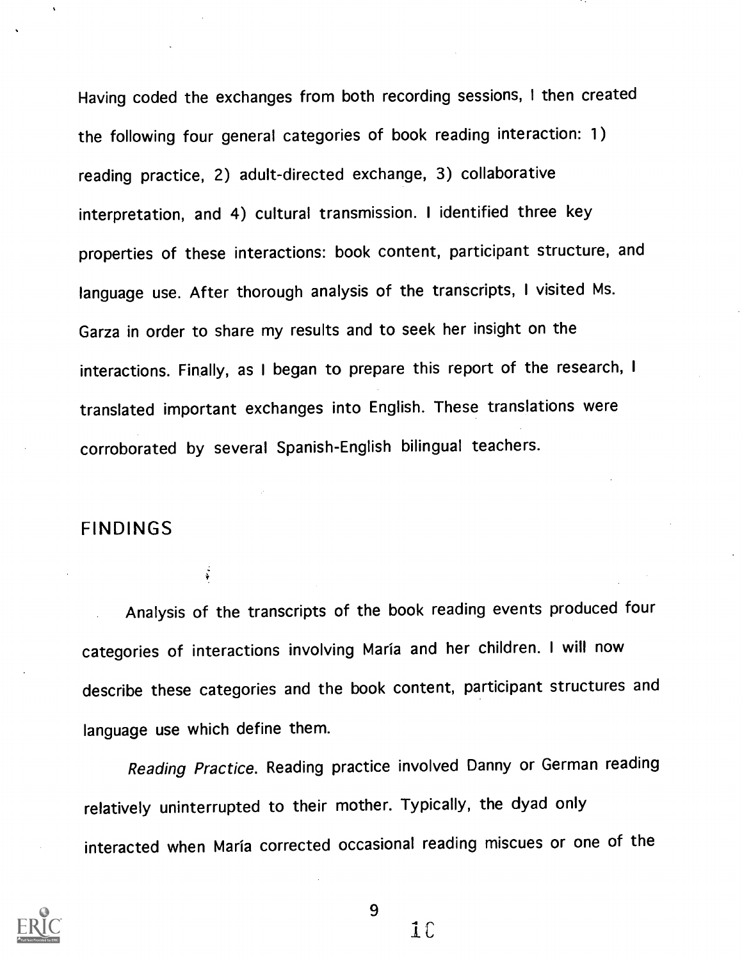Having coded the exchanges from both recording sessions, I then created the following four general categories of book reading interaction: 1) reading practice, 2) adult-directed exchange, 3) collaborative interpretation, and 4) cultural transmission. <sup>I</sup> identified three key properties of these interactions: book content, participant structure, and language use. After thorough analysis of the transcripts, <sup>I</sup> visited Ms. Garza in order to share my results and to seek her insight on the interactions. Finally, as I began to prepare this report of the research, <sup>I</sup> translated important exchanges into English. These translations were corroborated by several Spanish-English bilingual teachers.

# FINDINGS

 $\ddot{\ddot{\phi}}$ 

Analysis of the transcripts of the book reading events produced four categories of interactions involving Maria and her children. <sup>I</sup> will now describe these categories and the book content, participant structures and language use which define them.

Reading Practice. Reading practice involved Danny or German reading relatively uninterrupted to their mother. Typically, the dyad only interacted when Maria corrected occasional reading miscues or one of the

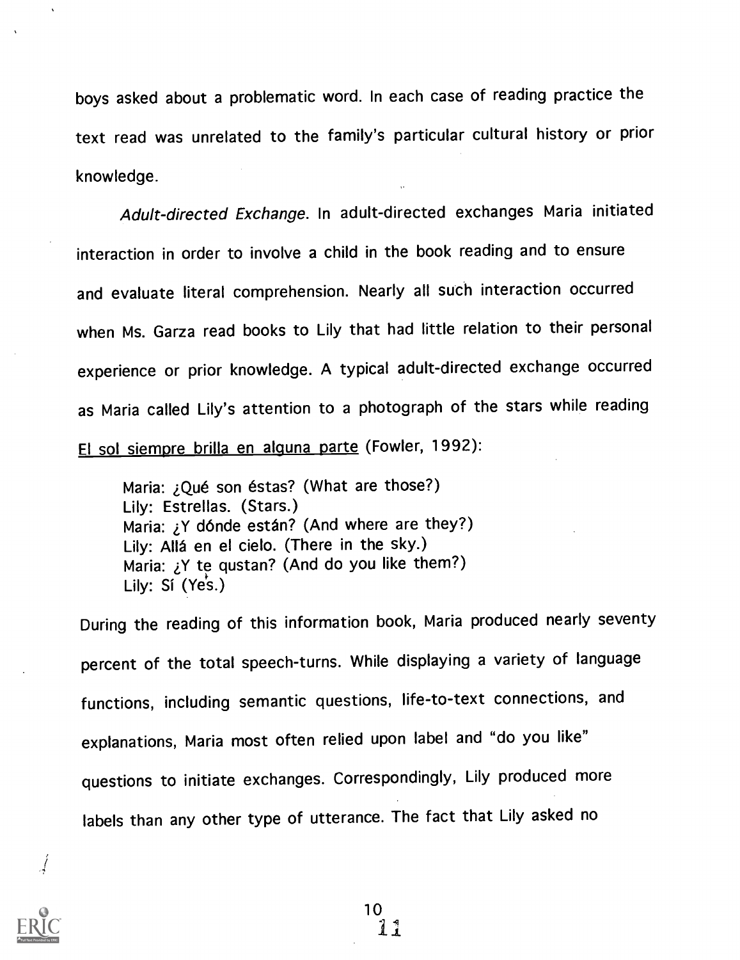boys asked about a problematic word. In each case of reading practice the text read was unrelated to the family's particular cultural history or prior knowledge.

Adult-directed Exchange. In adult-directed exchanges Maria initiated interaction in order to involve a child in the book reading and to ensure and evaluate literal comprehension. Nearly all such interaction occurred when Ms. Garza read books to Lily that had little relation to their personal experience or prior knowledge. A typical adult-directed exchange occurred as Maria called Lily's attention to a photograph of the stars while reading El sol siempre brilla en alguna parte (Fowler, 1992):

Maria: *jQué son éstas?* (What are those?) Lily: Estrellas. (Stars.) Maria: ¿Y dónde están? (And where are they?) Lily: Allá en el cielo. (There in the sky.) Maria: ¿Y te qustan? (And do you like them?) Lily: Si (Yes.)

During the reading of this information book, Maria produced nearly seventy percent of the total speech-turns. While displaying a variety of language functions, including semantic questions, life-to-text connections, and explanations, Maria most often relied upon label and "do you like" questions to initiate exchanges. Correspondingly, Lily produced more labels than any other type of utterance. The fact that Lily asked no

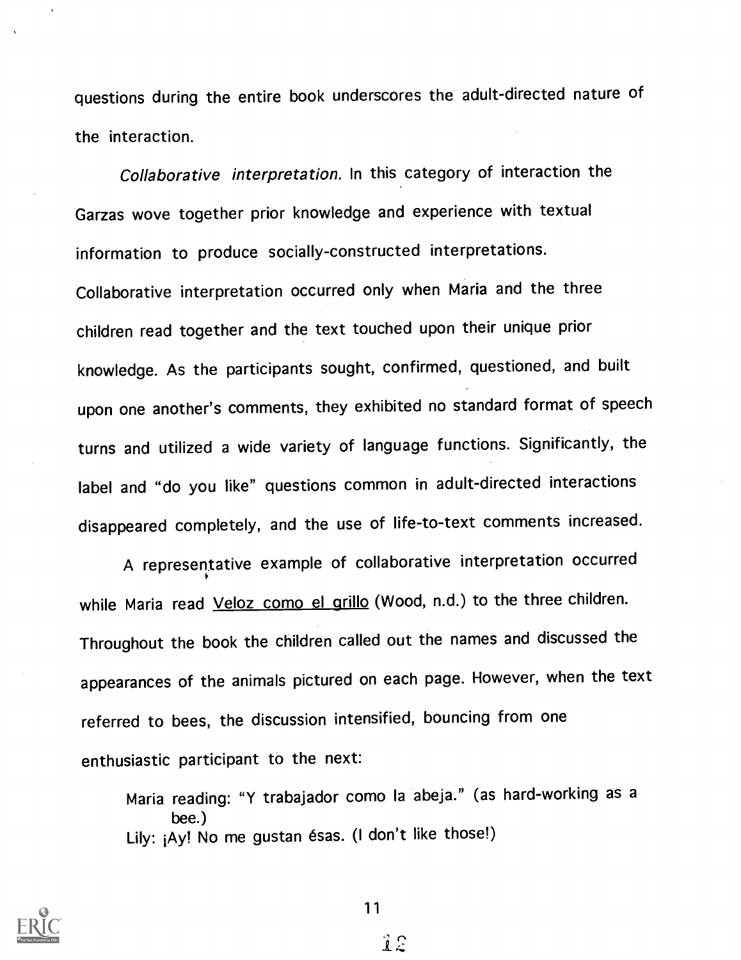questions during the entire book underscores the adult-directed nature of the interaction.

Collaborative interpretation. In this category of interaction the Garzas wove together prior knowledge and experience with textual information to produce socially-constructed interpretations. Collaborative interpretation occurred only when Maria and the three children read together and the text touched upon their unique prior knowledge. As the participants sought, confirmed, questioned, and built upon one another's comments, they exhibited no standard format of speech turns and utilized a wide variety of language functions. Significantly, the label and "do you like" questions common in adult-directed interactions disappeared completely, and the use of life-to-text comments increased.

A representative example of collaborative interpretation occurred while Maria read Veloz como el grillo (Wood, n.d.) to the three children. Throughout the book the children called out the names and discussed the appearances of the animals pictured on each page. However, when the text referred to bees, the discussion intensified, bouncing from one enthusiastic participant to the next:

Maria reading: "Y trabajador como la abeja." (as hard-working as a bee.) Lily: ¡Ay! No me gustan ésas. (I don't like those!)



11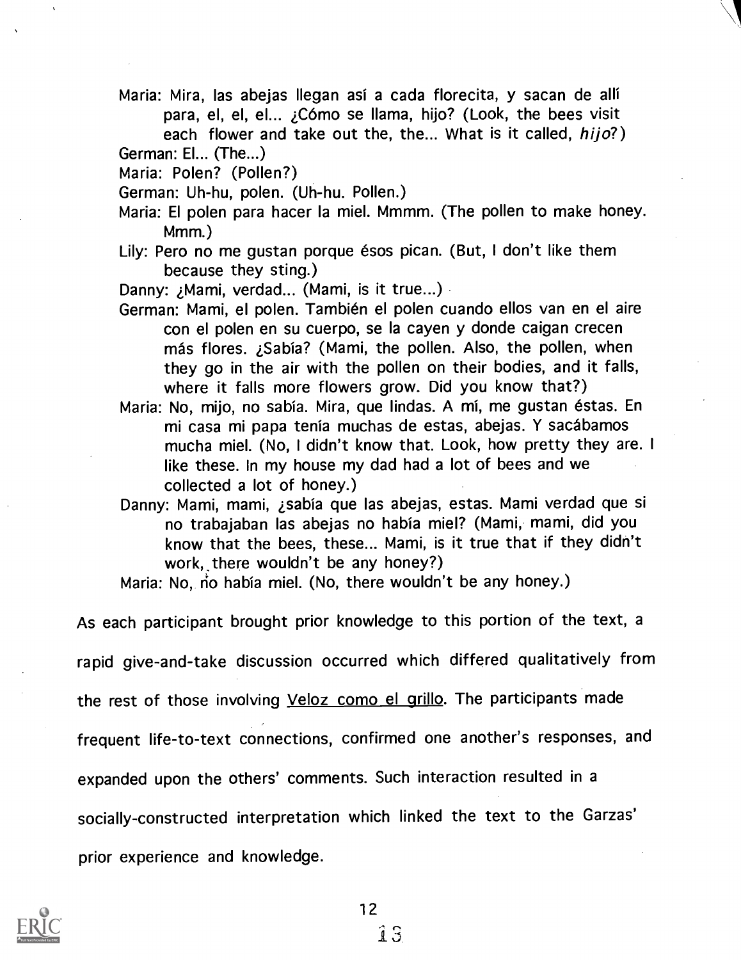Maria: Mira, las abejas Ilegan asi a cada florecita, y sacan de alli para, el, el, el... *j*Cómo se llama, hijo? (Look, the bees visit each flower and take out the, the... What is it called, hijo?)

German: El... (The...)

- Maria: Polen? (Pollen?)
- German: Uh-hu, polen. (Uh-hu. Pollen.)
- Maria: El polen para hacer la miel. Mmmm. (The pollen to make honey. Mmm.)
- Lily: Pero no me qustan porque ésos pican. (But, I don't like them because they sting.)

Danny: ; Mami, verdad... (Mami, is it true...)

- German: Mami, el polen. Tambien el polen cuando ellos van en el aire con el polen en su cuerpo, se la cayen y donde caigan crecen más flores. ¿Sabía? (Mami, the pollen. Also, the pollen, when they go in the air with the pollen on their bodies, and it falls, where it falls more flowers grow. Did you know that?)
- Maria: No, mijo, no sabia. Mira, que lindas. A mi, me gustan estas. En mi casa mi papa tenía muchas de estas, abejas. Y sacábamos mucha miel. (No, I didn't know that. Look, how pretty they are. <sup>I</sup> like these. In my house my dad had a lot of bees and we collected a lot of honey.)
- Danny: Mami, mami, ¿sabía que las abejas, estas. Mami verdad que si no trabajaban las abejas no habia miel? (Mami, mami, did you know that the bees, these... Mami, is it true that if they didn't work, there wouldn't be any honey?)

Maria: No, no había miel. (No, there wouldn't be any honey.)

As each participant brought prior knowledge to this portion of the text, a

rapid give-and-take discussion occurred which differed qualitatively from

the rest of those involving Veloz como el grillo. The participants made

frequent life-to-text connections, confirmed one another's responses, and

expanded upon the others' comments. Such interaction resulted in a

socially-constructed interpretation which linked the text to the Garzas'

prior experience and knowledge.

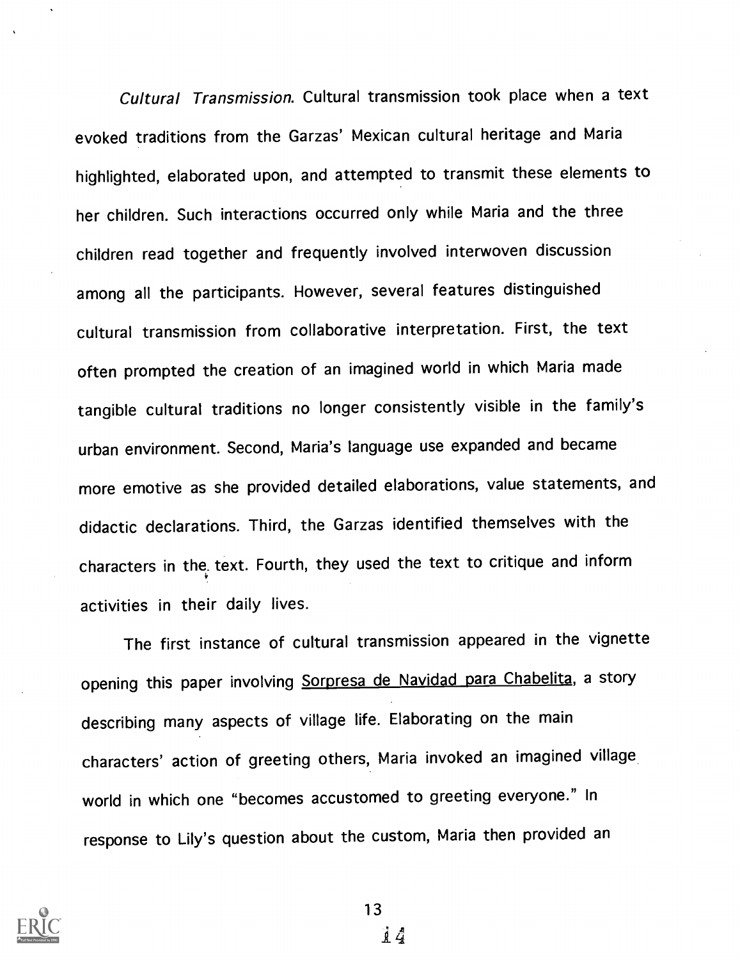Cultural Transmission. Cultural transmission took place when a text evoked traditions from the Garzas' Mexican cultural heritage and Maria highlighted, elaborated upon, and attempted to transmit these elements to her children. Such interactions occurred only while Maria and the three children read together and frequently involved interwoven discussion among all the participants. However, several features distinguished cultural transmission from collaborative interpretation. First, the text often prompted the creation of an imagined world in which Maria made tangible cultural traditions no longer consistently visible in the family's urban environment. Second, Maria's language use expanded and became more emotive as she provided detailed elaborations, value statements, and didactic declarations. Third, the Garzas identified themselves with the characters in the. text. Fourth, they used the text to critique and inform activities in their daily lives.

The first instance of cultural transmission appeared in the vignette opening this paper involving Sorpresa de Navidad para Chabelita, a story describing many aspects of village life. Elaborating on the main characters' action of greeting others, Maria invoked an imagined village world in which one "becomes accustomed to greeting everyone." In response to Lily's question about the custom, Maria then provided an



13

i4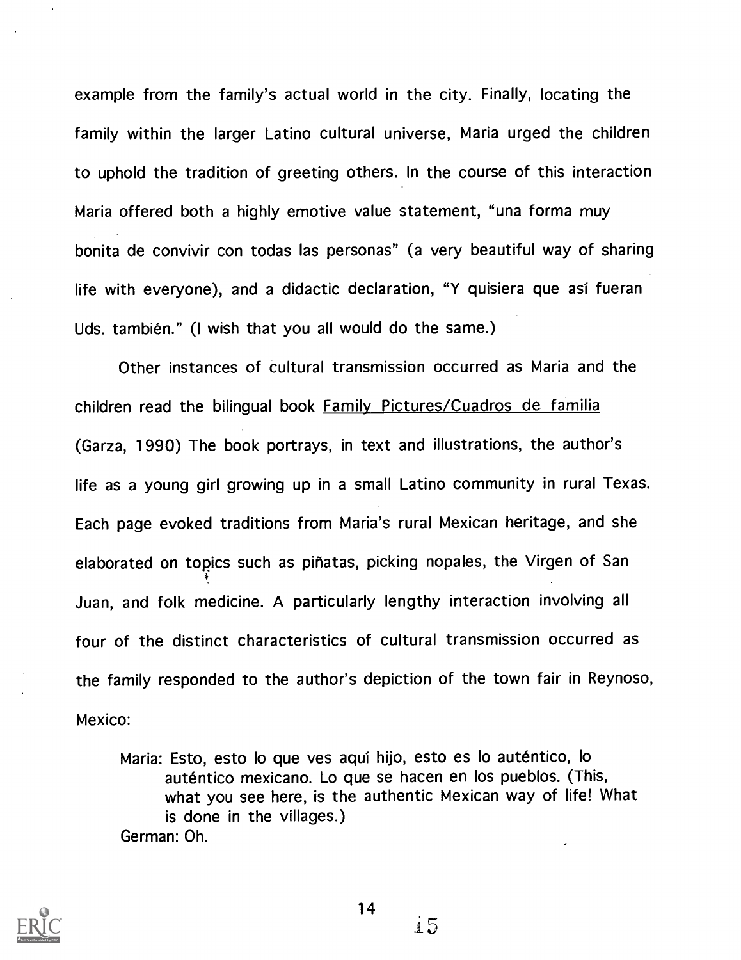example from the family's actual world in the city. Finally, locating the family within the larger Latino cultural universe, Maria urged the children to uphold the tradition of greeting others. In the course of this interaction Maria offered both a highly emotive value statement, "una forma muy bonita de convivir con todas las personas" (a very beautiful way of sharing life with everyone), and a didactic declaration, "Y quisiera que asi fueran Uds. también." (I wish that you all would do the same.)

Other instances of cultural transmission occurred as Maria and the children read the bilingual book Family Pictures/Cuadros de familia (Garza, 1990) The book portrays, in text and illustrations, the author's life as a young girl growing up in a small Latino community in rural Texas. Each page evoked traditions from Maria's rural Mexican heritage, and she elaborated on topics such as pihatas, picking nopales, the Virgen of San Juan, and folk medicine. A particularly lengthy interaction involving all four of the distinct characteristics of cultural transmission occurred as the family responded to the author's depiction of the town fair in Reynoso, Mexico:

Maria: Esto, esto lo que yes aqui hijo, esto es lo autentico, lo auténtico mexicano. Lo que se hacen en los pueblos. (This, what you see here, is the authentic Mexican way of life! What is done in the villages.) German: Oh.



 $.5$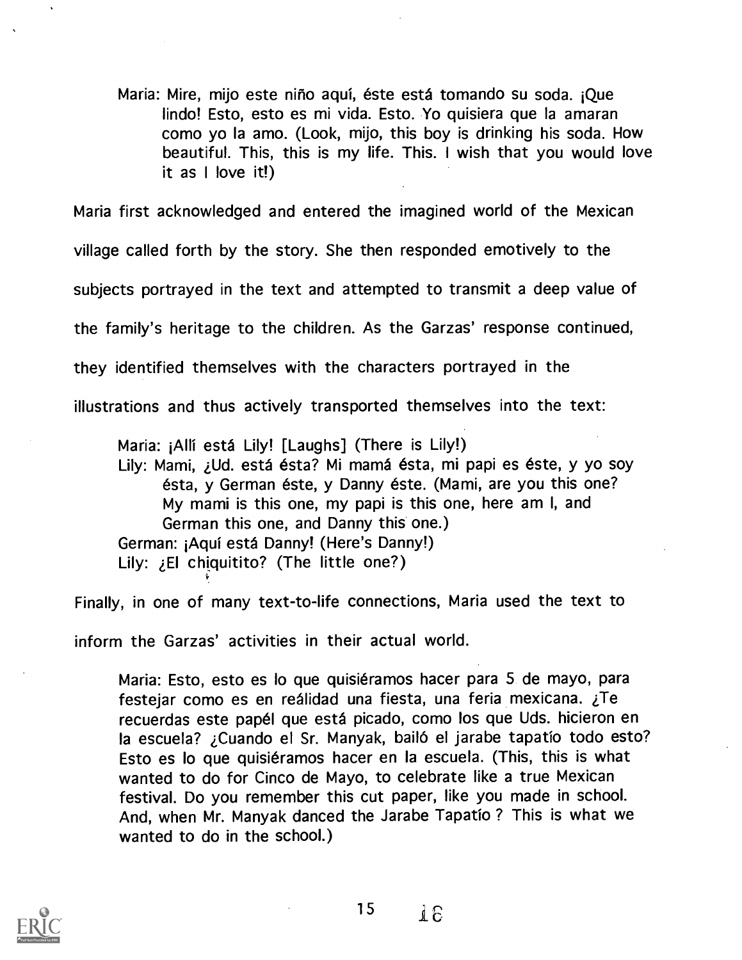Maria: Mire, mijo este niño aquí, éste está tomando su soda. ¡Que lindo! Esto, esto es mi vida. Esto. Yo quisiera que Ia amaran como yo la amo. (Look, mijo, this boy is drinking his soda. How beautiful. This, this is my life. This. I wish that you would love it as <sup>I</sup> love it!)

Maria first acknowledged and entered the imagined world of the Mexican village called forth by the story. She then responded emotively to the subjects portrayed in the text and attempted to transmit a deep value of the family's heritage to the children. As the Garzas' response continued, they identified themselves with the characters portrayed in the illustrations and thus actively transported themselves into the text:

Maria: iAlli esta Lily! [Laughs] (There is Lily!) Lily: Mami, ¿Ud. está ésta? Mi mamá ésta, mi papi es éste, y yo soy ésta, y German éste, y Danny éste. (Mami, are you this one? My mami is this one, my papi is this one, here am I, and German this one, and Danny this one.) German: ¡Aquí está Danny! (Here's Danny!) Lily:  $E1$  chiquitito? (The little one?)

Finally, in one of many text-to-life connections, Maria used the text to inform the Garzas' activities in their actual world.

Maria: Esto, esto es lo que quisiéramos hacer para 5 de mayo, para festejar como es en reálidad una fiesta, una feria mexicana. ¿Te recuerdas este papel que esta picado, como los que Uds. hicieron en la escuela? ¿Cuando el Sr. Manyak, bailó el jarabe tapatío todo esto? Esto es lo que quisiéramos hacer en la escuela. (This, this is what wanted to do for Cinco de Mayo, to celebrate like a true Mexican festival. Do you remember this cut paper, like you made in school. And, when Mr. Manyak danced the Jarabe Tapatio ? This is what we wanted to do in the school.)



15 $1E$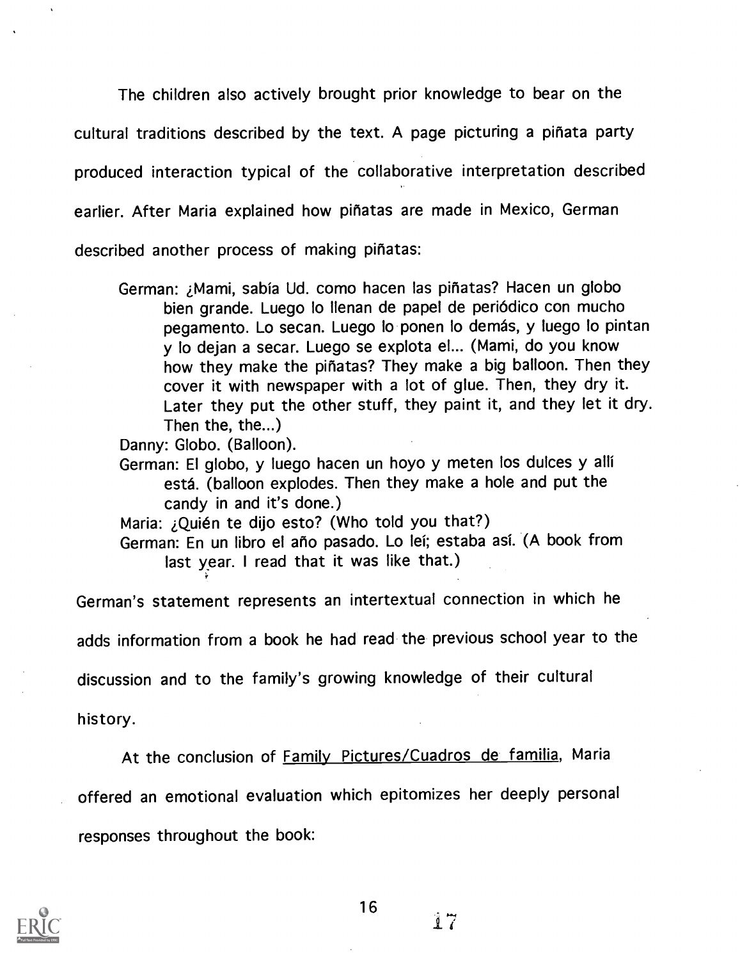The children also actively brought prior knowledge to bear on the cultural traditions described by the text. A page picturing a pinata party produced interaction typical of the collaborative interpretation described earlier. After Maria explained how pinatas are made in Mexico, German described another process of making pinatas:

German: ¿Mami, sabía Ud. como hacen las piñatas? Hacen un globo bien grande. Luego lo Ilenan de papel de periodico con mucho pegamento. Lo secan. Luego lo ponen lo demás, y luego lo pintan y lo dejan a secar. Luego se explota el... (Mami, do you know how they make the piñatas? They make a big balloon. Then they cover it with newspaper with a lot of glue. Then, they dry it. Later they put the other stuff, they paint it, and they let it dry. Then the, the...)

Danny: Globo. (Balloon).

German: El globo, y luego hacen un hoyo y meten los dulces y alli esta. (balloon explodes. Then they make a hole and put the candy in and it's done.)

Maria: ¿Quién te dijo esto? (Who told you that?)

German: En un libro el año pasado. Lo leí; estaba así. (A book from last year. <sup>I</sup> read that it was like that.)

German's statement represents an intertextual connection in which he

adds information from a book he had read the previous school year to the

discussion and to the family's growing knowledge of their cultural

history.

At the conclusion of **Family Pictures/Cuadros de familia**, Maria offered an emotional evaluation which epitomizes her deeply personal responses throughout the book:

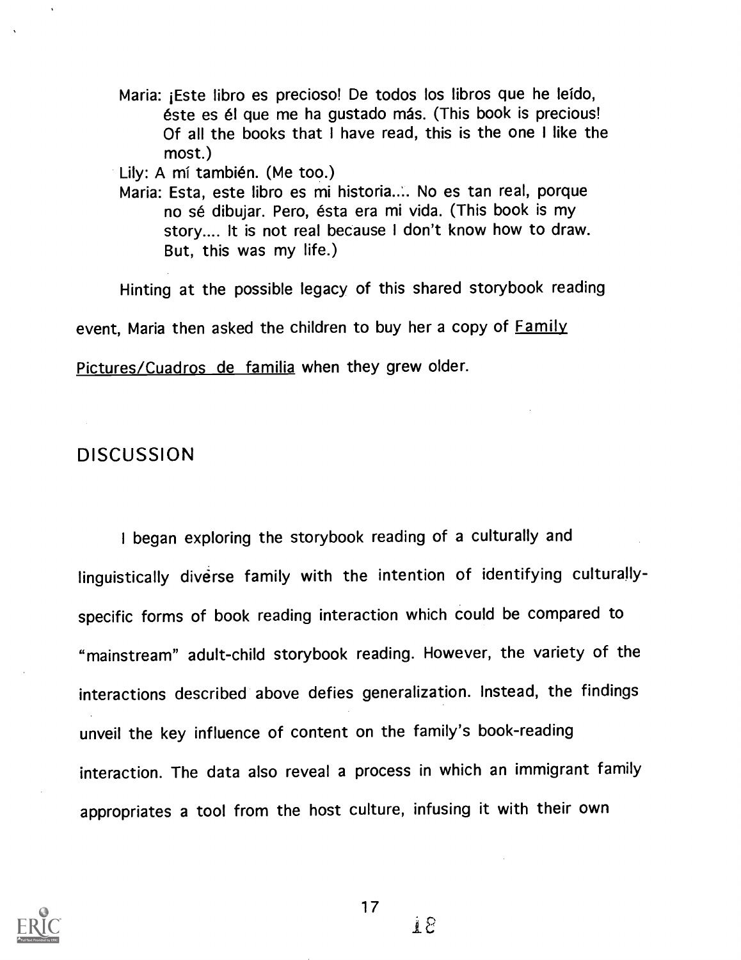Maria: iEste libro es precioso! De todos los libros que he leido, éste es él que me ha gustado más. (This book is precious! Of all the books that I have read, this is the one I like the most.)

Lily: A mí también. (Me too.)

Maria: Esta, este libro es mi historia..'.. No es tan real, porque no sé dibujar. Pero, ésta era mi vida. (This book is my story.... It is not real because I don't know how to draw. But, this was my life.)

Hinting at the possible legacy of this shared storybook reading

event. Maria then asked the children to buy her a copy of **Family** 

Pictures/Cuadros de familia when they grew older.

# DISCUSSION

I began exploring the storybook reading of a culturally and linguistically diverse family with the intention of identifying culturallyspecific forms of book reading interaction which could be compared to "mainstream" adult-child storybook reading. However, the variety of the interactions described above defies generalization. Instead, the findings unveil the key influence of content on the family's book-reading interaction. The data also reveal a process in which an immigrant family appropriates a tool from the host culture, infusing it with their own



∄ 8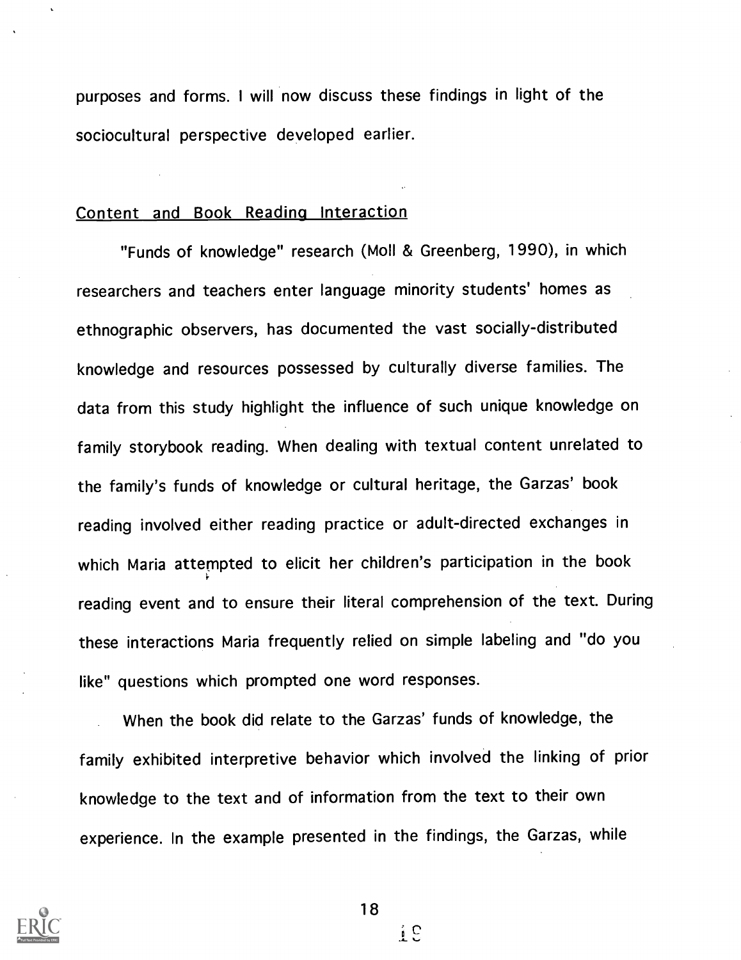purposes and forms. <sup>I</sup> will now discuss these findings in light of the sociocultural perspective developed earlier.

# Content and Book Reading Interaction

"Funds of knowledge" research (Moll & Greenberg, 1990), in which researchers and teachers enter language minority students' homes as ethnographic observers, has documented the vast socially-distributed knowledge and resources possessed by culturally diverse families. The data from this study highlight the influence of such unique knowledge on family storybook reading. When dealing with textual content unrelated to the family's funds of knowledge or cultural heritage, the Garzas' book reading involved either reading practice or adult-directed exchanges in which Maria attempted to elicit her children's participation in the book reading event and to ensure their literal comprehension of the text. During these interactions Maria frequently relied on simple labeling and "do you like" questions which prompted one word responses.

When the book did relate to the Garzas' funds of knowledge, the family exhibited interpretive behavior which involved the linking of prior knowledge to the text and of information from the text to their own experience. In the example presented in the findings, the Garzas, while



18

 $\frac{1}{4}$  C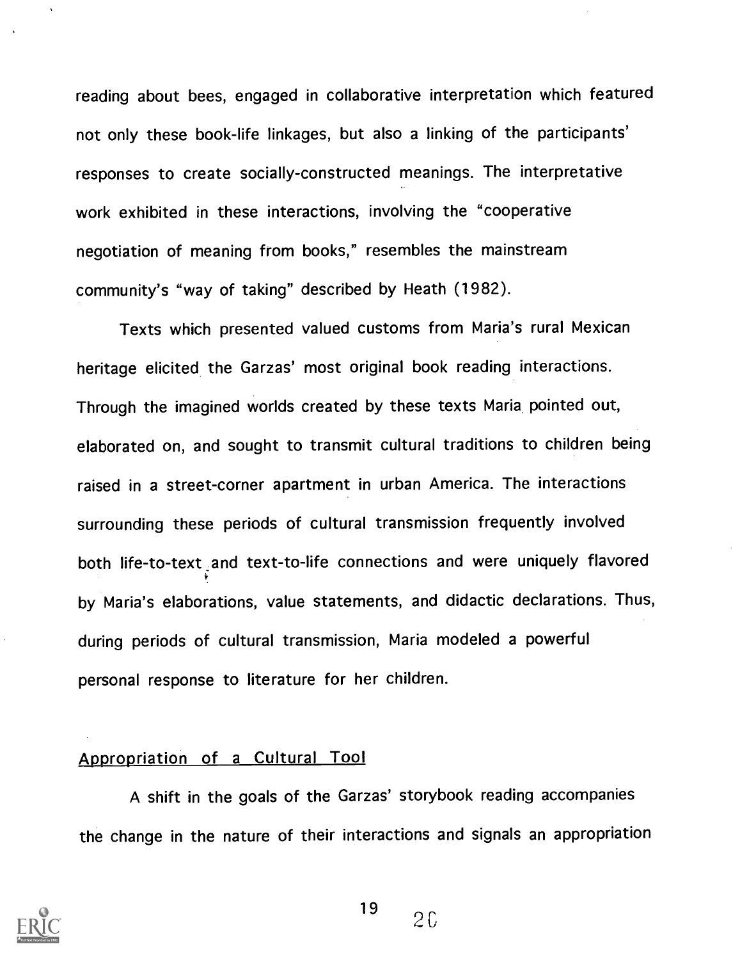reading about bees, engaged in collaborative interpretation which featured not only these book-life linkages, but also a linking of the participants' responses to create socially-constructed meanings. The interpretative work exhibited in these interactions, involving the "cooperative negotiation of meaning from books," resembles the mainstream community's "way of taking" described by Heath (1982).

Texts which presented valued customs from Maria's rural Mexican heritage elicited the Garzas' most original book reading interactions. Through the imagined worlds created by these texts Maria pointed out, elaborated on, and sought to transmit cultural traditions to children being raised in a street-corner apartment in urban America. The interactions surrounding these periods of cultural transmission frequently involved both life-to-text and text-to-life connections and were uniquely flavored by Maria's elaborations, value statements, and didactic declarations. Thus, during periods of cultural transmission, Maria modeled a powerful personal response to literature for her children.

#### Appropriation of a Cultural Tool

A shift in the goals of the Garzas' storybook reading accompanies the change in the nature of their interactions and signals an appropriation

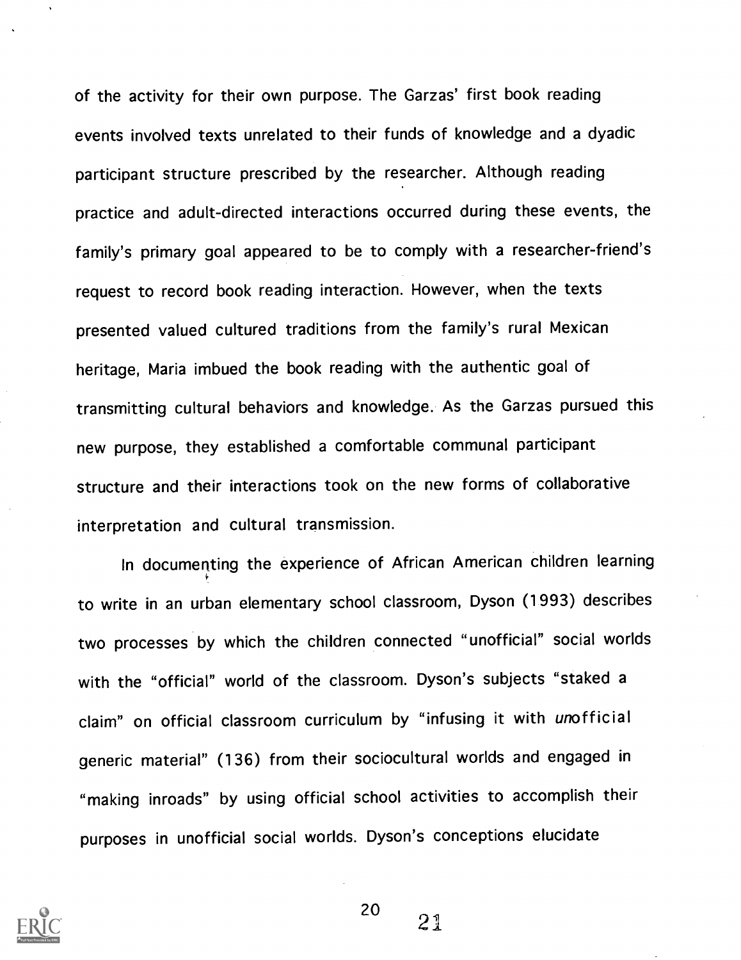of the activity for their own purpose. The Garzas' first book reading events involved texts unrelated to their funds of knowledge and a dyadic participant structure prescribed by the researcher. Although reading practice and adult-directed interactions occurred during these events, the family's primary goal appeared to be to comply with a researcher-friend's request to record book reading interaction. However, when the texts presented valued cultured traditions from the family's rural Mexican heritage, Maria imbued the book reading with the authentic goal of transmitting cultural behaviors and knowledge. As the Garzas pursued this new purpose, they established a comfortable communal participant structure and their interactions took on the new forms of collaborative interpretation and cultural transmission.

In documenting the experience of African American children learning to write in an urban elementary school classroom, Dyson (1993) describes two processes by which the children connected "unofficial" social worlds with the "official" world of the classroom. Dyson's subjects "staked a claim" on official classroom curriculum by "infusing it with unofficial generic material" (136) from their sociocultural worlds and engaged in "making inroads" by using official school activities to accomplish their purposes in unofficial social worlds. Dyson's conceptions elucidate

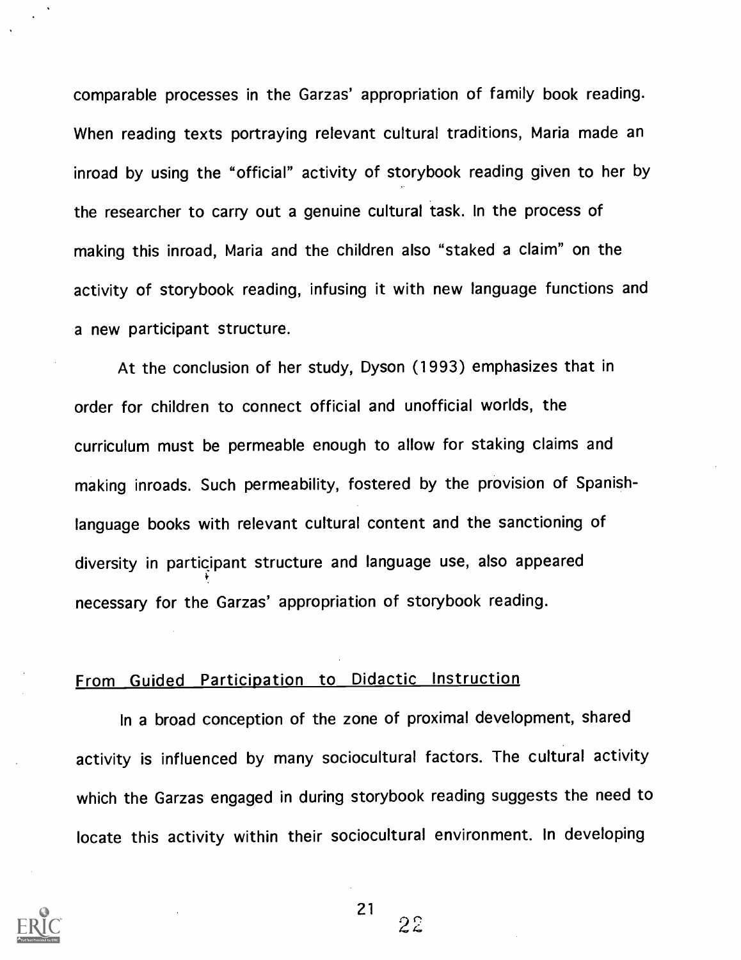comparable processes in the Garzas' appropriation of family book reading. When reading texts portraying relevant cultural traditions, Maria made an inroad by using the "official" activity of storybook reading given to her by the researcher to carry out a genuine cultural task. In the process of making this inroad, Maria and the children also "staked a claim" on the activity of storybook reading, infusing it with new language functions and a new participant structure.

At the conclusion of her study, Dyson (1993) emphasizes that in order for children to connect official and unofficial worlds, the curriculum must be permeable enough to allow for staking claims and making inroads. Such permeability, fostered by the provision of Spanishlanguage books with relevant cultural content and the sanctioning of diversity in participant structure and language use, also appeared necessary for the Garzas' appropriation of storybook reading.

# From Guided Participation to Didactic Instruction

In a broad conception of the zone of proximal development, shared activity is influenced by many sociocultural factors. The cultural activity which the Garzas engaged in during storybook reading suggests the need to locate this activity within their sociocultural environment. In developing



21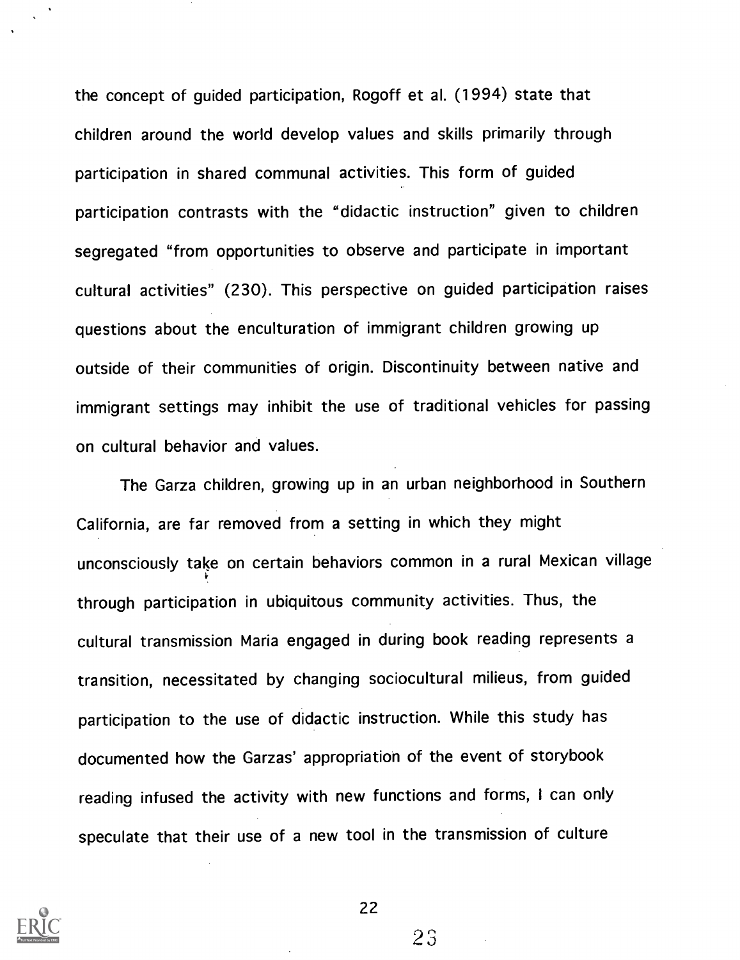the concept of guided participation, Rogoff et al. (1994) state that children around the world develop values and skills primarily through participation in shared communal activities. This form of guided participation contrasts with the "didactic instruction" given to children segregated "from opportunities to observe and participate in important cultural activities" (230). This perspective on guided participation raises questions about the enculturation of immigrant children growing up outside of their communities of origin. Discontinuity between native and immigrant settings may inhibit the use of traditional vehicles for passing on cultural behavior and values.

The Garza children, growing up in an urban neighborhood in Southern California, are far removed from a setting in which they might unconsciously take on certain behaviors common in a rural Mexican village through participation in ubiquitous community activities. Thus, the cultural transmission Maria engaged in during book reading represents a transition, necessitated by changing sociocultural milieus, from guided participation to the use of didactic instruction. While this study has documented how the Garzas' appropriation of the event of storybook reading infused the activity with new functions and forms, I can only speculate that their use of a new tool in the transmission of culture



22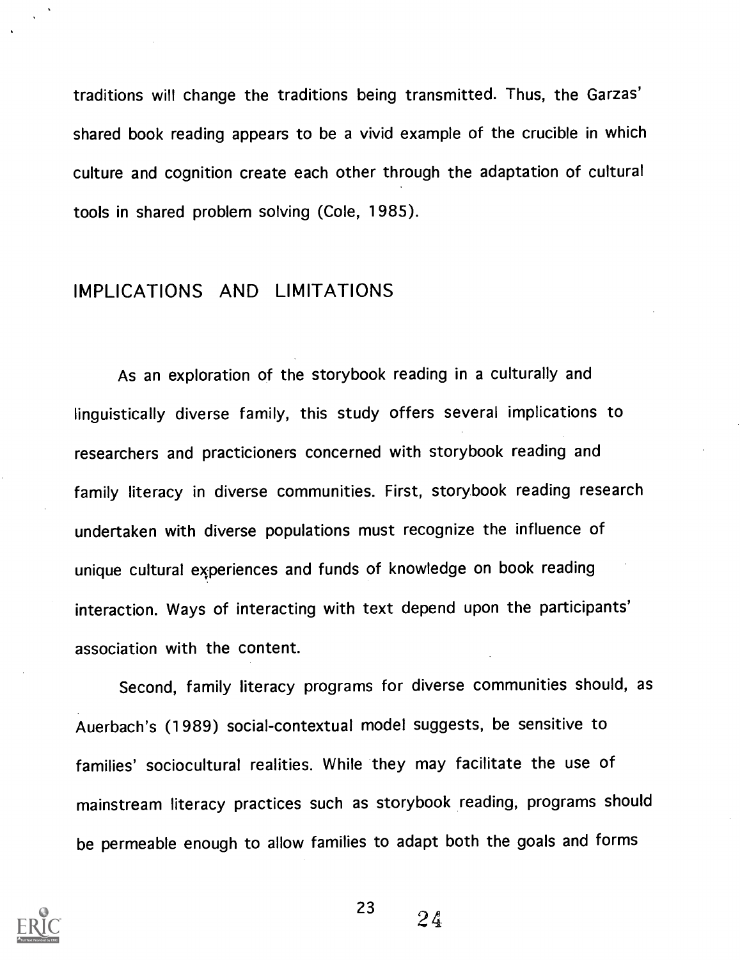traditions will change the traditions being transmitted. Thus, the Garzas' shared book reading appears to be a vivid example of the crucible in which culture and cognition create each other through the adaptation of cultural tools in shared problem solving (Cole, 1985).

# IMPLICATIONS AND LIMITATIONS

As an exploration of the storybook reading in a culturally and linguistically diverse family, this study offers several implications to researchers and practicioners concerned with storybook reading and family literacy in diverse communities. First, storybook reading research undertaken with diverse populations must recognize the influence of unique cultural experiences and funds of knowledge on book reading interaction. Ways of interacting with text depend upon the participants' association with the content.

Second, family literacy programs for diverse communities should, as Auerbach's (1989) social-contextual model suggests, be sensitive to families' sociocultural realities. While they may facilitate the use of mainstream literacy practices such as storybook reading, programs should be permeable enough to allow families to adapt both the goals and forms

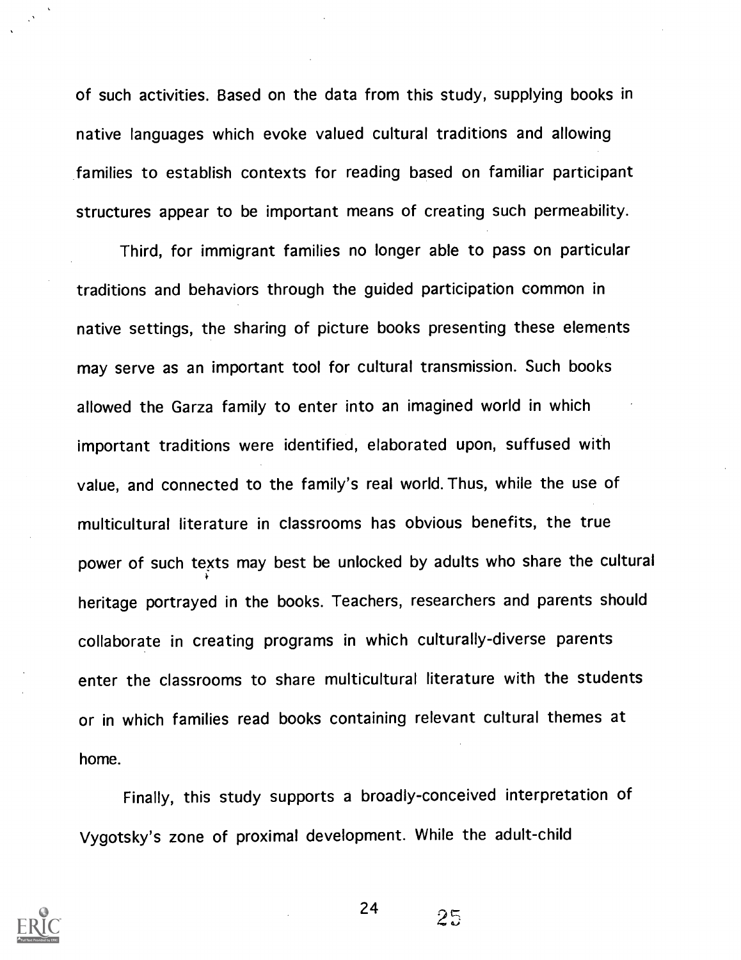of such activities. Based on the data from this study, supplying books in native languages which evoke valued cultural traditions and allowing families to establish contexts for reading based on familiar participant structures appear to be important means of creating such permeability.

Third, for immigrant families no longer able to pass on particular traditions and behaviors through the guided participation common in native settings, the sharing of picture books presenting these elements may serve as an important tool for cultural transmission. Such books allowed the Garza family to enter into an imagined world in which important traditions were identified, elaborated upon, suffused with value, and connected to the family's real world. Thus, while the use of multicultural literature in classrooms has obvious benefits, the true power of such texts may best be unlocked by adults who share the cultural heritage portrayed in the books. Teachers, researchers and parents should collaborate in creating programs in which culturally-diverse parents enter the classrooms to share multicultural literature with the students or in which families read books containing relevant cultural themes at home.

Finally, this study supports a broadly-conceived interpretation of Vygotsky's zone of proximal development. While the adult-child

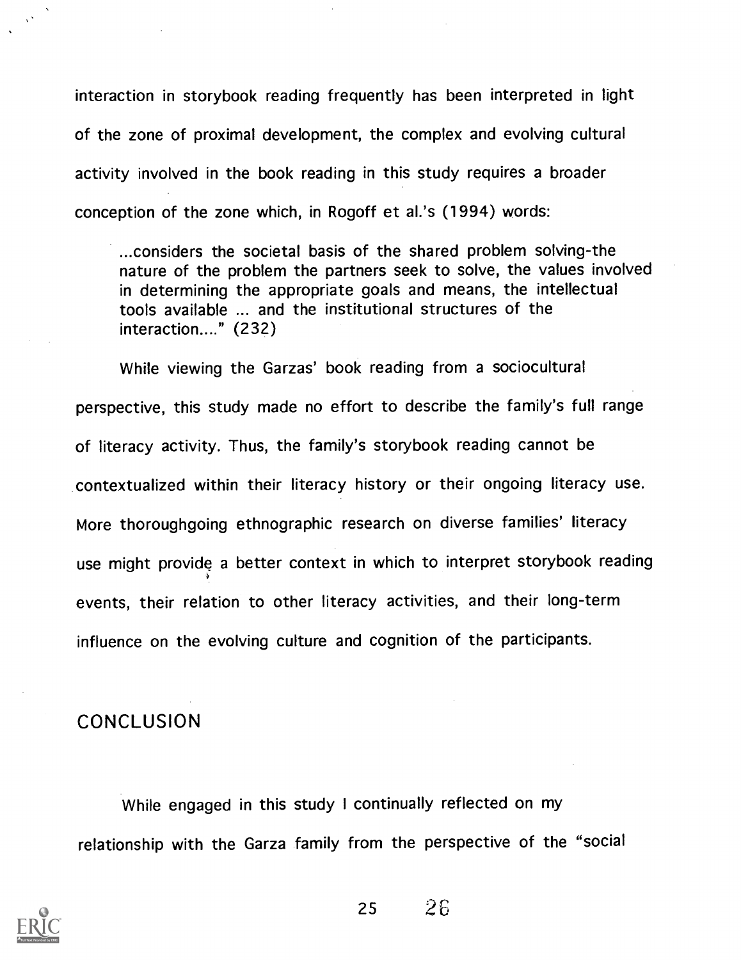interaction in storybook reading frequently has been interpreted in light of the zone of proximal development, the complex and evolving cultural activity involved in the book reading in this study requires a broader conception of the zone which, in Rogoff et al.'s (1994) words:

...considers the societal basis of the shared problem solving-the nature of the problem the partners seek to solve, the values involved in determining the appropriate goals and means, the intellectual tools available ... and the institutional structures of the interaction...." (232)

While viewing the Garzas' book reading from a sociocultural perspective, this study made no effort to describe the family's full range of literacy activity. Thus, the family's storybook reading cannot be contextualized within their literacy history or their ongoing literacy use. More thoroughgoing ethnographic research on diverse families' literacy use might provide a better context in which to interpret storybook reading events, their relation to other literacy activities, and their long-term influence on the evolving culture and cognition of the participants.

# **CONCLUSION**

While engaged in this study I continually reflected on my relationship with the Garza family from the perspective of the "social

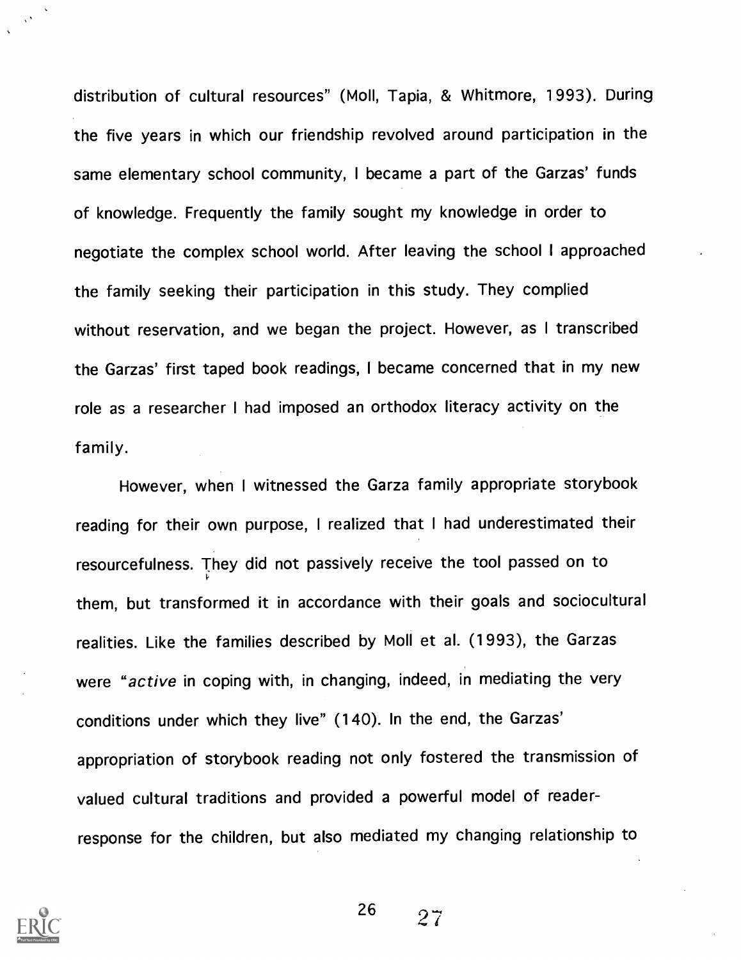distribution of cultural resources" (Moll, Tapia, & Whitmore, 1993). During the five years in which our friendship revolved around participation in the same elementary school community, I became a part of the Garzas' funds of knowledge. Frequently the family sought my knowledge in order to negotiate the complex school world. After leaving the school I approached the family seeking their participation in this study. They complied without reservation, and we began the project. However, as I transcribed the Garzas' first taped book readings, I became concerned that in my new role as a researcher I had imposed an orthodox literacy activity on the family.

However, when I witnessed the Garza family appropriate storybook reading for their own purpose, <sup>I</sup> realized that I had underestimated their resourcefulness. They did not passively receive the tool passed on to them, but transformed it in accordance with their goals and sociocultural realities. Like the families described by Moll et al. (1993), the Garzas were "active in coping with, in changing, indeed, in mediating the very conditions under which they live" (140). In the end, the Garzas' appropriation of storybook reading not only fostered the transmission of valued cultural traditions and provided a powerful model of readerresponse for the children, but also mediated my changing relationship to



 $\chi^{\chi}$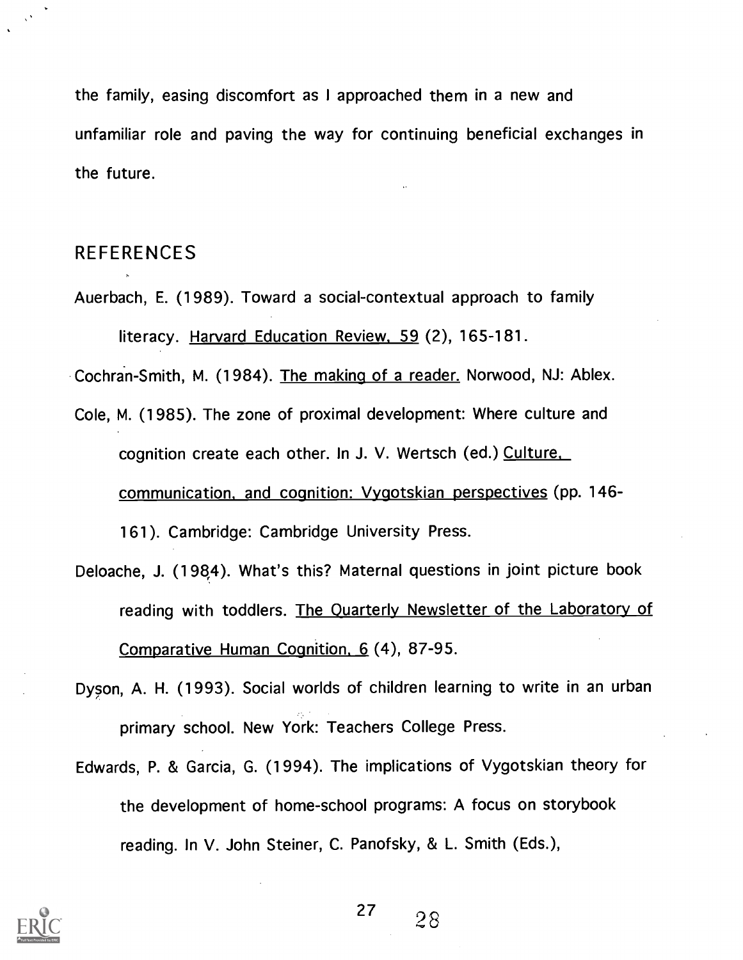the family, easing discomfort as I approached them in a new and unfamiliar role and paving the way for continuing beneficial exchanges in the future.

## REFERENCES

Auerbach, E. (1989). Toward a social-contextual approach to family literacy. Harvard Education Review, 59 (2), 165-181.

Cochran-Smith, M. (1984). The making of a reader. Norwood, NJ: Ablex.

- Cole, M. (1985). The zone of proximal development: Where culture and cognition create each other. In J. V. Wertsch (ed.) Culture, communication, and cognition: Vygotskian perspectives (pp. 146- 161). Cambridge: Cambridge University Press.
- Deloache, J. (1984). What's this? Maternal questions in joint picture book reading with toddlers. The Quarterly Newsletter of the Laboratory of Comparative Human Cognition, 6 (4), 87-95.
- Dyson, A. H. (1993). Social worlds of children learning to write in an urban primary school. New York: Teachers College Press.
- Edwards, P. & Garcia, G. (1994). The implications of Vygotskian theory for the development of home-school programs: A focus on storybook reading. In V. John Steiner, C. Panofsky, & L. Smith (Eds.),

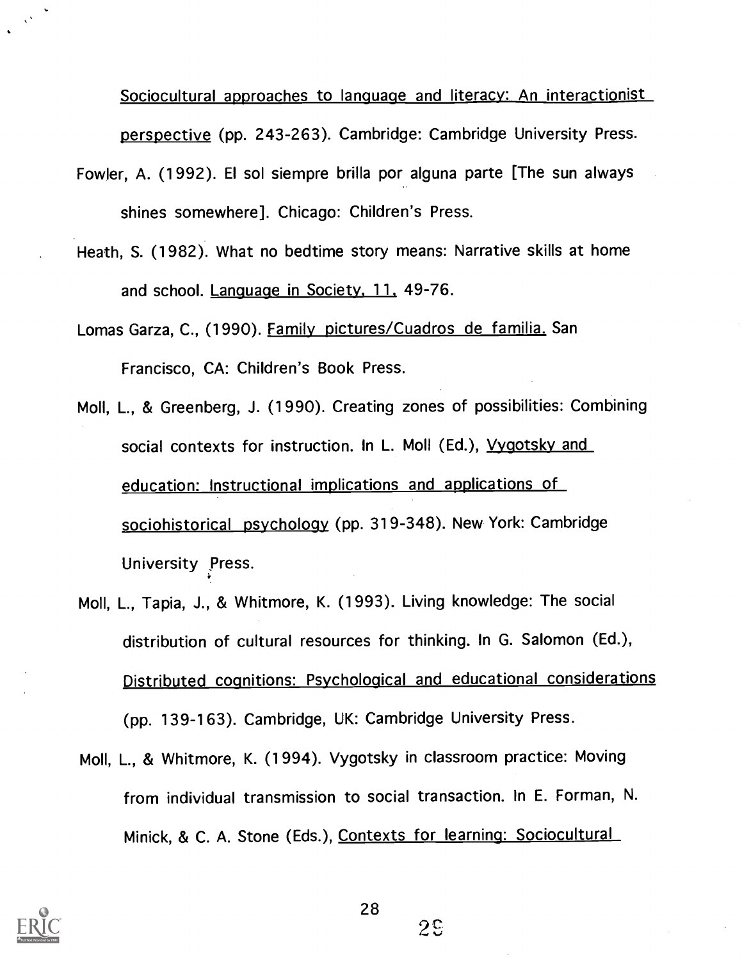Sociocultural approaches to language and literacy: An interactionist perspective (pp. 243-263). Cambridge: Cambridge University Press.

- Fowler, A. (1992). El sol siempre brilla por alguna parte [The sun always shines somewhere]. Chicago: Children's Press.
- Heath, S. (1982). What no bedtime story means: Narrative skills at home and school. Language in Society, 11. 49-76.

Lomas Garza, C., (1990). Family pictures/Cuadros de familia. San Francisco, CA: Children's Book Press.

- Moll, L., & Greenberg, J. (1990). Creating zones of possibilities: Combining social contexts for instruction. In L. Moll (Ed.), Vygotsky and education: Instructional implications and applications of sociohistorical psychology (pp. 319-348). New York: Cambridge University Press.
- Moll, L., Tapia, J., & Whitmore, K. (1993). Living knowledge: The social distribution of cultural resources for thinking. In G. Salomon (Ed.), Distributed cognitions: Psychological and educational considerations (pp. 139-163). Cambridge, UK: Cambridge University Press.
- Moll, L., & Whitmore, K. (1994). Vygotsky in classroom practice: Moving from individual transmission to social transaction. In E. Forman, N. Minick, & C. A. Stone (Eds.), Contexts for learning: Sociocultural



 $2<sup>c</sup>$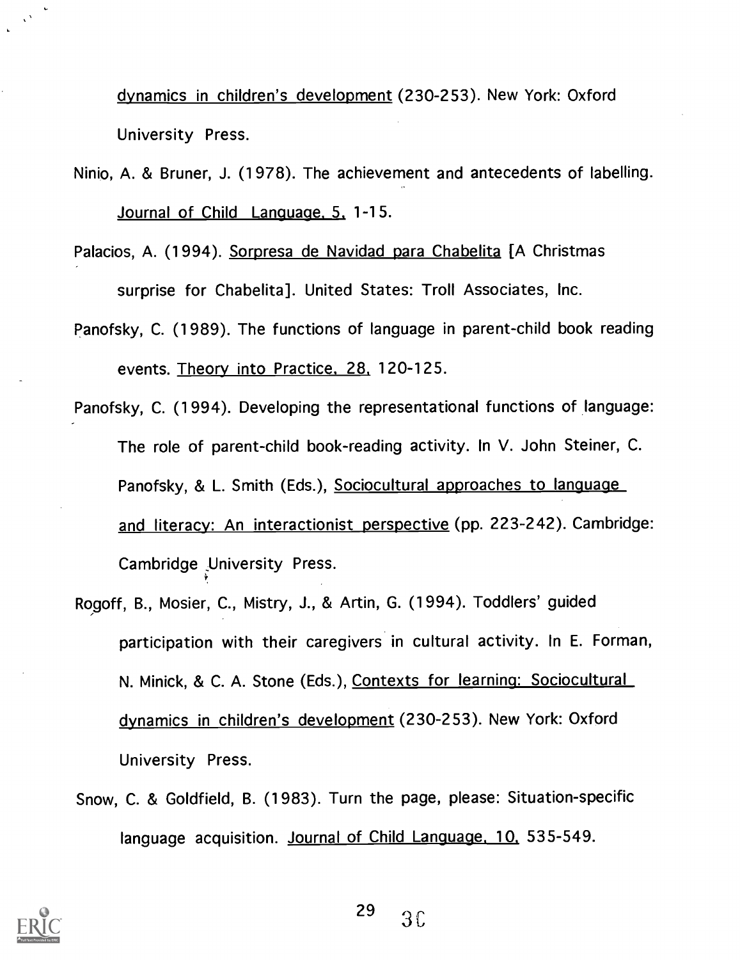dynamics in children's development (230-253). New York: Oxford University Press.

- Ninio, A. & Bruner, J. (1978). The achievement and antecedents of labelling. Journal of Child Language. 5. 1-15.
- Palacios, A. (1994). Sorpresa de Navidad para Chabelita [A Christmas surprise for Chabelita]. United States: Troll Associates, Inc.
- Panofsky, C. (1989). The functions of language in parent-child book reading events. Theory into Practice. 28. 120-125.
- Panofsky, C. (1994). Developing the representational functions of language: The role of parent-child book-reading activity. In V. John Steiner, C. Panofsky, & L. Smith (Eds.), Sociocultural approaches to language and literacy: An interactionist perspective (pp. 223-242). Cambridge: Cambridge University Press.
- Rogoff, B., Mosier, C., Mistry, J., & Artin, G. (1994). Toddlers' guided participation with their caregivers in cultural activity. In E. Forman, N. Minick, & C. A. Stone (Eds.), Contexts for learning: Sociocultural dynamics in children's development (230-253). New York: Oxford University Press.
- Snow, C. & Goldfield, B. (1983). Turn the page, please: Situation-specific language acquisition. Journal of Child Language, 10, 535-549.

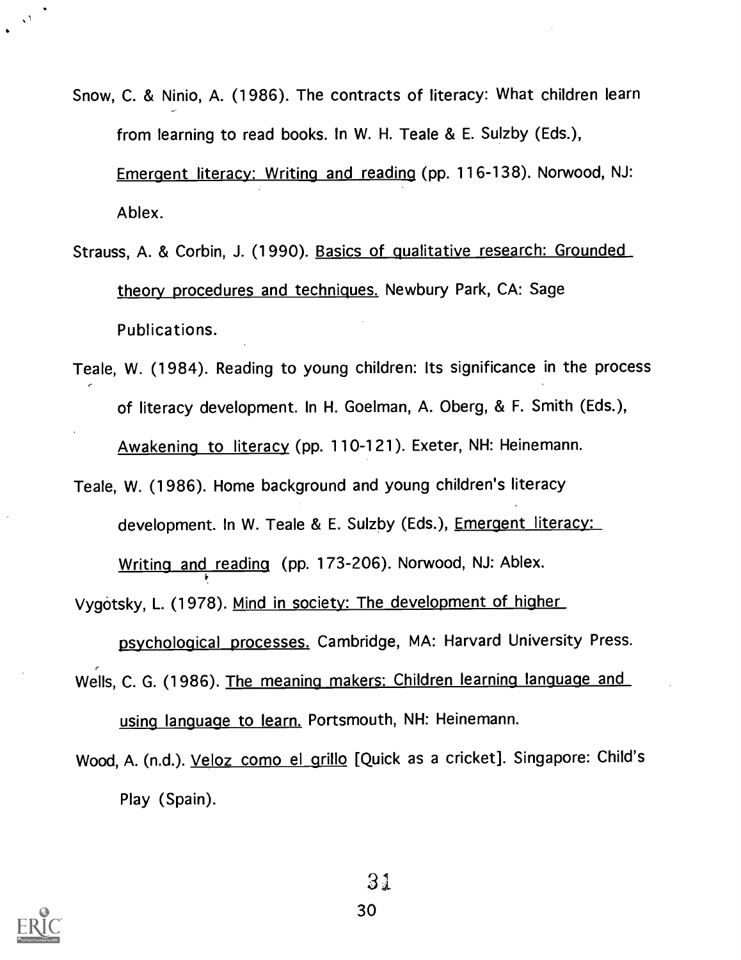Snow, C. & Ninio, A. (1986). The contracts of literacy: What children learn from learning to read books. In W. H. Teale & E. Sulzby (Eds.),

Emergent literacy: Writing and reading (pp. 116-138). Norwood, NJ: Ablex.

- Strauss, A. & Corbin, J. (1990). Basics of qualitative research: Grounded theory procedures and techniques. Newbury Park, CA: Sage Publications.
- Teale, W. (1984). Reading to young children: Its significance in the process of literacy development. In H. Goelman, A. Oberg, & F. Smith (Eds.), Awakening to literacy (pp. 110-121). Exeter, NH: Heinemann.
- Teale, W. (1986). Home background and young children's literacy development. In W. Teale & E. Sulzby (Eds.), Emergent literacy: Writing and reading (pp. 173-206). Norwood, NJ: Ablex.

Vygotsky, L. (1978). Mind in society: The development of higher

psychological processes. Cambridge, MA: Harvard University Press.

- Wells, C. G. (1986). The meaning makers: Children learning language and using language to learn. Portsmouth, NH: Heinemann.
- Wood, A. (n.d.). Veloz como el grillo [Quick as a cricket]. Singapore: Child's Play (Spain).



 $\sqrt{2}$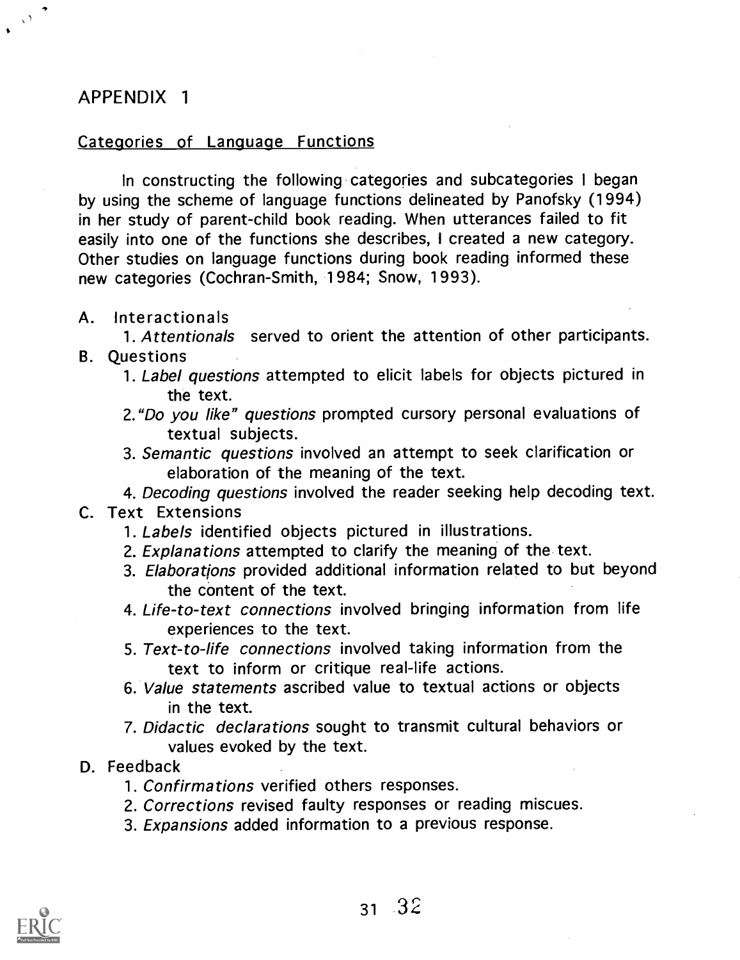# APPENDIX <sup>1</sup>

#### Categories of Language Functions

In constructing the following categories and subcategories I began by using the scheme of language functions delineated by Panofsky (1994) in her study of parent-child book reading. When utterances failed to fit easily into one of the functions she describes, I created a new category. Other studies on language functions during book reading informed these new categories (Cochran-Smith, 1984; Snow, 1993).

A. Interactionals

1. Attentionals served to orient the attention of other participants. B. Questions

- 1. Label questions attempted to elicit labels for objects pictured in the text.
- 2."Do you like" questions prompted cursory personal evaluations of textual subjects.
- 3. Semantic questions involved an attempt to seek clarification or elaboration of the meaning of the text.

4. Decoding questions involved the reader seeking help decoding text. C. Text Extensions

- 1. Labels identified objects pictured in illustrations.
- 2. Explanations attempted to clarify the meaning of the text.
- 3. Elaborations provided additional information related to but beyond the content of the text.
- 4. Life-to-text connections involved bringing information from life experiences to the text.
- 5. Text-to-life connections involved taking information from the text to inform or critique real-life actions.
- 6. Value statements ascribed value to textual actions or objects in the text.
- 7. Didactic declarations sought to transmit cultural behaviors or values evoked by the text.

#### D. Feedback

- 1. Confirmations verified others responses.
- 2. Corrections revised faulty responses or reading miscues.
- 3. Expansions added information to a previous response.

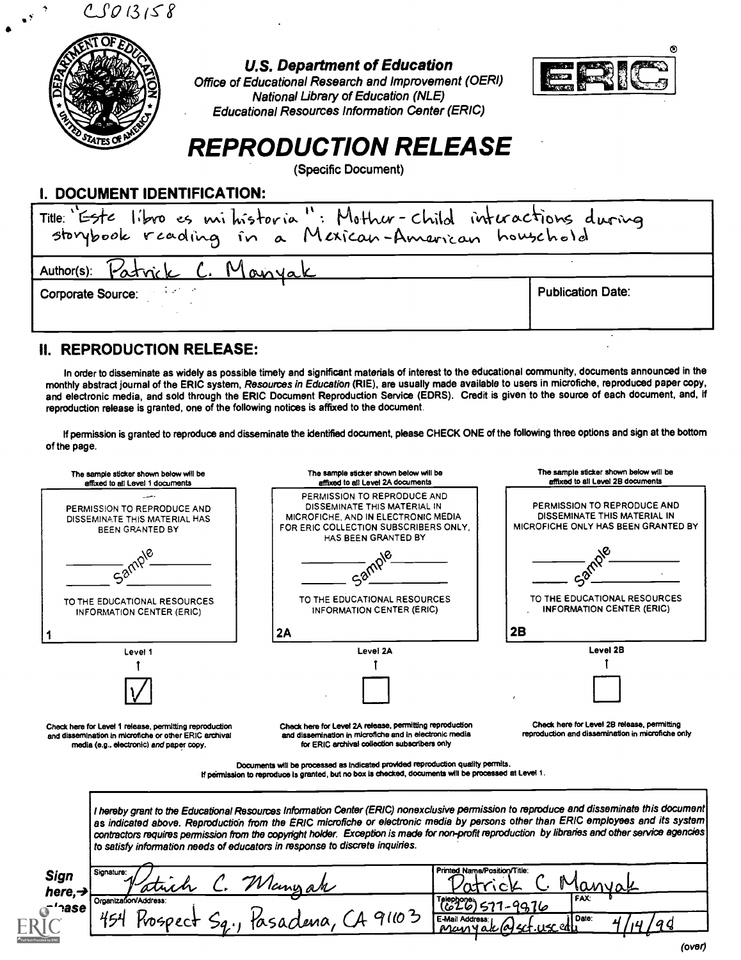$CSO13158$ 



U.S. Department of Education

Office of Educational Research and Improvement (OERI) National Library of Education (NLE) Educational Resources Information Center (ERIC)



# REPRODUCTION RELEASE

(Specific Document)

#### I. DOCUMENT IDENTIFICATION:

| Title: 'Este libro es mi historia": Mother-child interactions during<br>storybook reading in a Mexican-American household |                          |  |  |
|---------------------------------------------------------------------------------------------------------------------------|--------------------------|--|--|
| Author(s): Patrick C. Manyak                                                                                              |                          |  |  |
| Corporate Source: Williams                                                                                                | <b>Publication Date:</b> |  |  |

#### **II. REPRODUCTION RELEASE:**

In order to disseminate as widely as possible timely and significant materials of interest to the educational community, documents announced in the monthly abstract journal of the ERIC system, Resources in Education (RIE), are usually made available to users in microfiche, reproduced paper copy, and electronic media, and sold through the ERIC Document Reproduction Service (EDRS). Credit is given to the source of each document, and, if reproduction release is granted, one of the following notices is affixed to the document.

If permission is granted to reproduce and disseminate the identified document, please CHECK ONE of the following three options and sign at the bottom of the page.

| affixed to all Level 1 documents                                                                                  | The sample sticker shown below will be<br>affixed to all Level 2A documents                                                                                                                                                                                                                                                                                                                                                                                                                                       | The sample sticker shown below will be<br>affixed to all Level 2B documents                        |  |  |
|-------------------------------------------------------------------------------------------------------------------|-------------------------------------------------------------------------------------------------------------------------------------------------------------------------------------------------------------------------------------------------------------------------------------------------------------------------------------------------------------------------------------------------------------------------------------------------------------------------------------------------------------------|----------------------------------------------------------------------------------------------------|--|--|
| PERMISSION TO REPRODUCE AND<br>DISSEMINATE THIS MATERIAL HAS<br>BEEN GRANTED BY                                   | PERMISSION TO REPRODUCE AND<br>DISSEMINATE THIS MATERIAL IN<br><b>MICROFICHE, AND IN ELECTRONIC MEDIA</b><br>FOR ERIC COLLECTION SUBSCRIBERS ONLY.<br>HAS BEEN GRANTED BY                                                                                                                                                                                                                                                                                                                                         | PERMISSION TO REPRODUCE AND<br>DISSEMINATE THIS MATERIAL IN<br>MICROFICHE ONLY HAS BEEN GRANTED BY |  |  |
| Samp.                                                                                                             |                                                                                                                                                                                                                                                                                                                                                                                                                                                                                                                   |                                                                                                    |  |  |
| TO THE EDUCATIONAL RESOURCES<br><b>INFORMATION CENTER (ERIC)</b>                                                  | TO THE EDUCATIONAL RESOURCES<br>INFORMATION CENTER (ERIC)                                                                                                                                                                                                                                                                                                                                                                                                                                                         | TO THE EDUCATIONAL RESOURCES<br><b>INFORMATION CENTER (ERIC)</b>                                   |  |  |
|                                                                                                                   | 2A                                                                                                                                                                                                                                                                                                                                                                                                                                                                                                                | 2B                                                                                                 |  |  |
| Level 1                                                                                                           | Level 2A                                                                                                                                                                                                                                                                                                                                                                                                                                                                                                          | Level 2B                                                                                           |  |  |
|                                                                                                                   |                                                                                                                                                                                                                                                                                                                                                                                                                                                                                                                   |                                                                                                    |  |  |
|                                                                                                                   |                                                                                                                                                                                                                                                                                                                                                                                                                                                                                                                   |                                                                                                    |  |  |
|                                                                                                                   |                                                                                                                                                                                                                                                                                                                                                                                                                                                                                                                   |                                                                                                    |  |  |
| media (e.g., electronic) and paper copy.                                                                          | Check here for Level 2A release, permitting reproduction<br>and dissemination in microfiche and in electronic media<br>for ERIC archival collection subscribers only                                                                                                                                                                                                                                                                                                                                              | Check here for Level 2B release, permitting<br>reproduction and dissemination in microfiche only   |  |  |
|                                                                                                                   | Documents will be processed as indicated provided reproduction quality permits.<br>If permission to reproduce is granted, but no box is checked, documents will be processed at Level 1.                                                                                                                                                                                                                                                                                                                          |                                                                                                    |  |  |
| Check here for Level 1 release, permitting reproduction<br>and dissemination in microfiche or other ERIC archival | I hereby grant to the Educational Resources Information Center (ERIC) nonexclusive permission to reproduce and disseminate this document<br>as indicated above. Reproduction from the ERIC microfiche or electronic media by persons other than ERIC employees and its system<br>contractors requires permission from the copyright holder. Exception is made for non-profit reproduction by libraries and other service agencies<br>to satisfy information needs of educators in response to discrete inquiries. |                                                                                                    |  |  |
| Signature:                                                                                                        | Printed Name/Position/Title:                                                                                                                                                                                                                                                                                                                                                                                                                                                                                      |                                                                                                    |  |  |
| <b>Sign</b><br>here, $\rightarrow$<br>Organization/Address:                                                       | C. Wlangar<br>sadena, CA 91103<br><b>E-Mail Address</b>                                                                                                                                                                                                                                                                                                                                                                                                                                                           | FAX:<br>577-9976<br>Date:                                                                          |  |  |